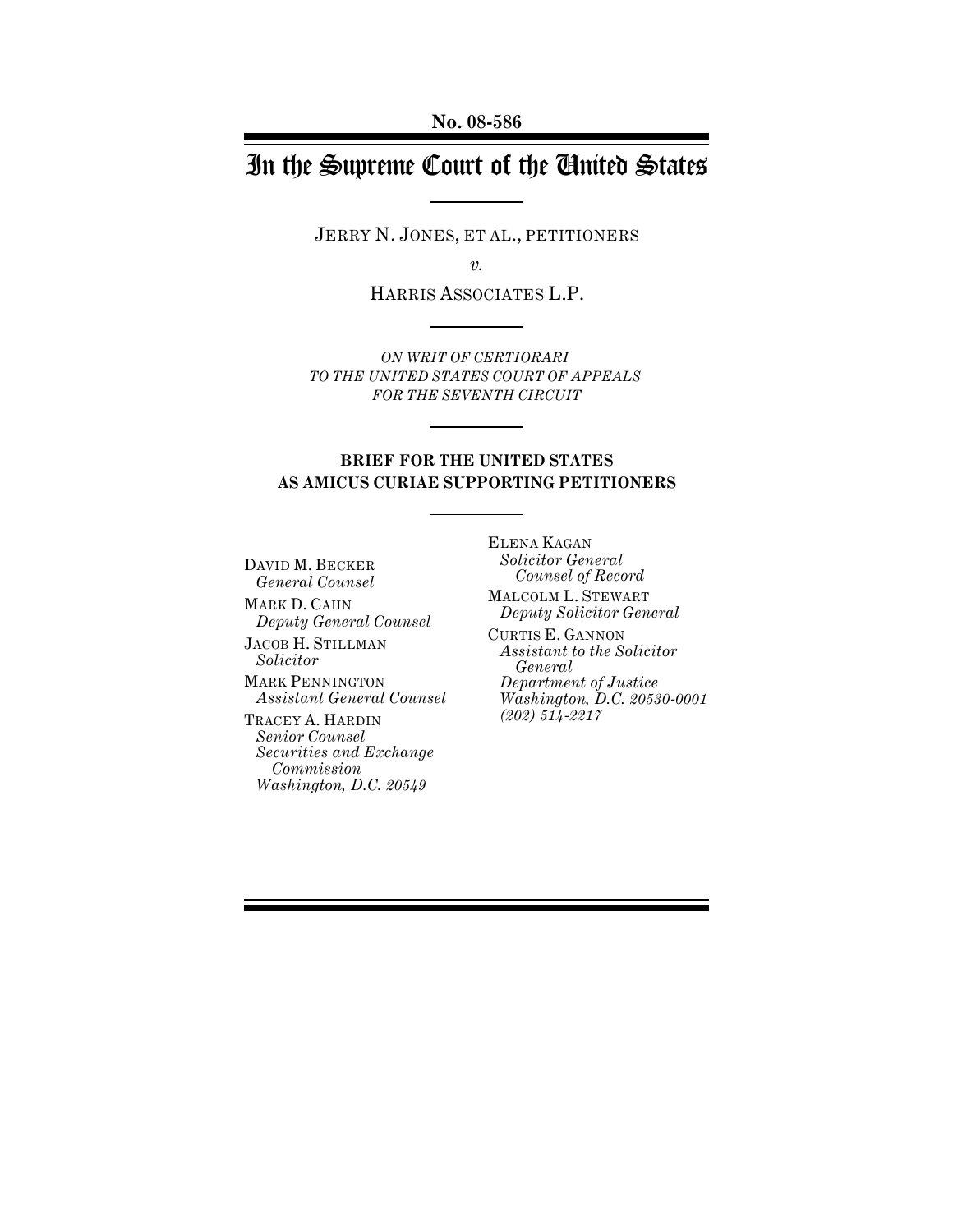# In the Supreme Court of the United States

JERRY N. JONES, ET AL., PETITIONERS

*v.*

HARRIS ASSOCIATES L.P.

*ON WRIT OF CERTIORARI TO THE UNITED STATES COURT OF APPEALS FOR THE SEVENTH CIRCUIT*

### **BRIEF FOR THE UNITED STATES AS AMICUS CURIAE SUPPORTING PETITIONERS**

DAVID M. BECKER *General Counsel*

MARK D. CAHN *Deputy General Counsel*

JACOB H. STILLMAN *Solicitor*

MARK PENNINGTON *Assistant General Counsel*

TRACEY A. HARDIN *Senior Counsel Securities and Exchange Commission Washington, D.C. 20549*

ELENA KAGAN *Solicitor General Counsel of Record*

MALCOLM L. STEWART *Deputy Solicitor General*

CURTIS E. GANNON *Assistant to the Solicitor General Department of Justice Washington, D.C. 20530-0001 (202) 514-2217*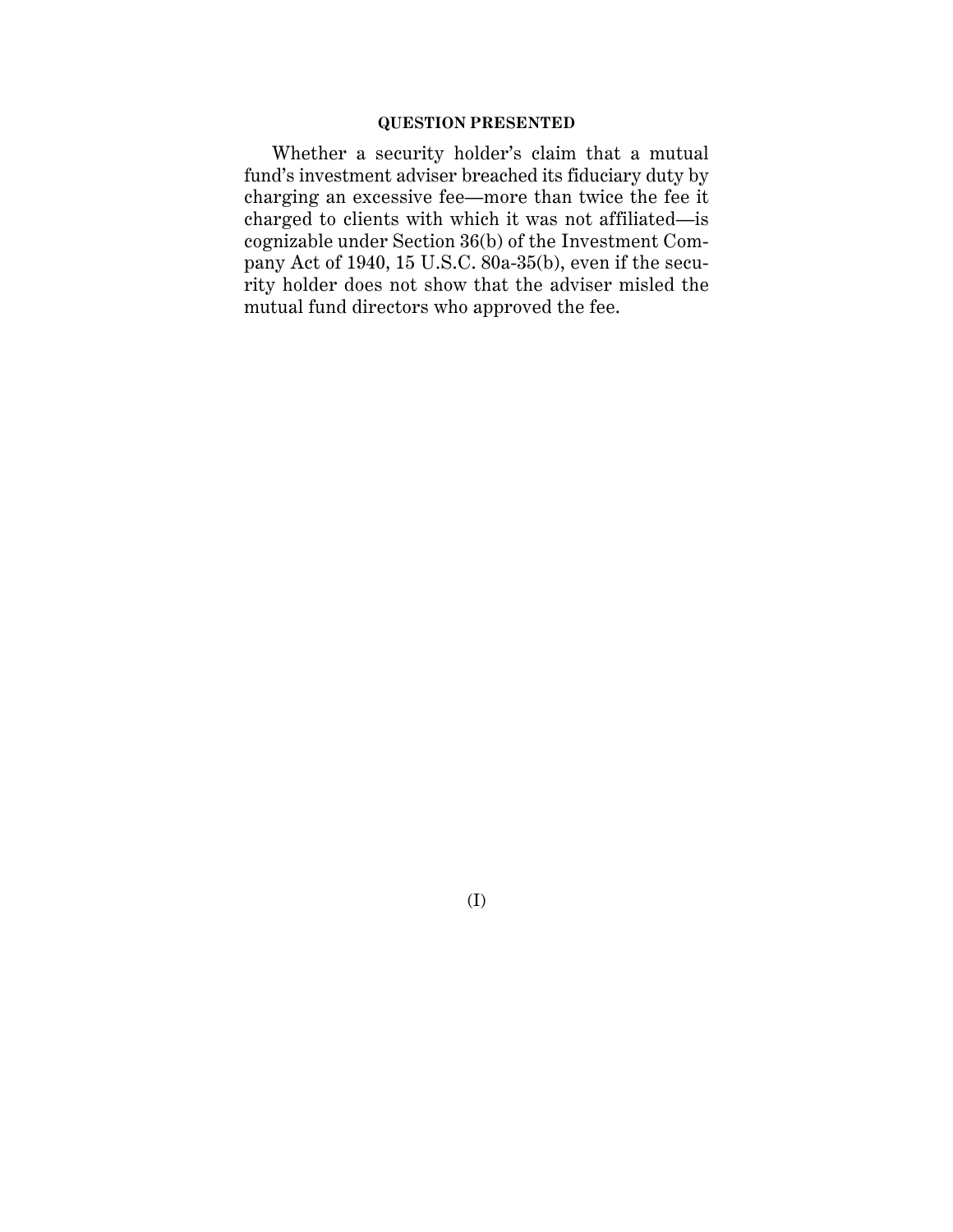### **QUESTION PRESENTED**

Whether a security holder's claim that a mutual fund's investment adviser breached its fiduciary duty by charging an excessive fee—more than twice the fee it charged to clients with which it was not affiliated—is cognizable under Section 36(b) of the Investment Company Act of 1940, 15 U.S.C. 80a-35(b), even if the security holder does not show that the adviser misled the mutual fund directors who approved the fee.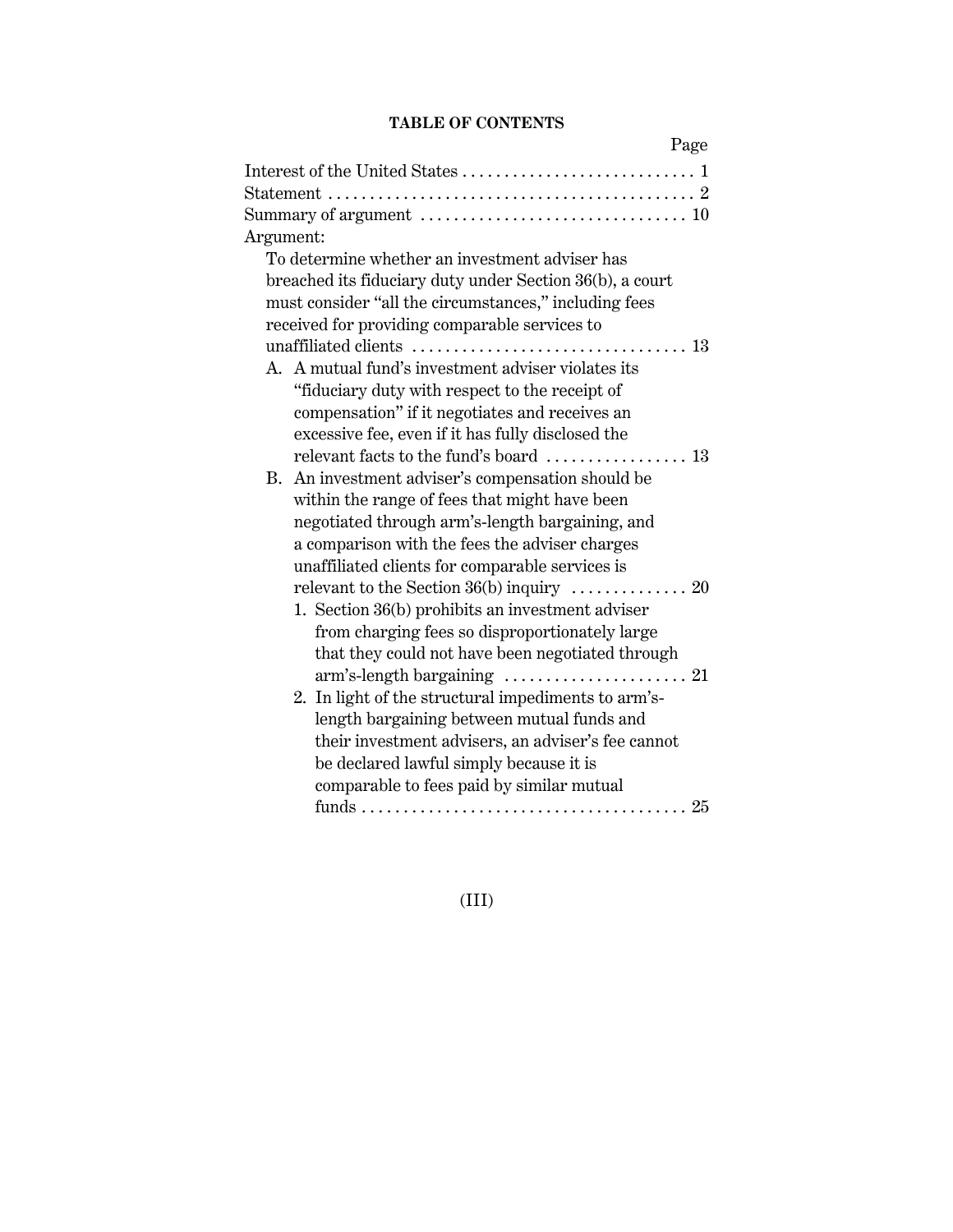## **TABLE OF CONTENTS**

| Page                                                                                 |
|--------------------------------------------------------------------------------------|
|                                                                                      |
|                                                                                      |
| Summary of argument $\dots\dots\dots\dots\dots\dots\dots\dots\dots\dots\dots$        |
| Argument:                                                                            |
| To determine whether an investment adviser has                                       |
| breached its fiduciary duty under Section 36(b), a court                             |
| must consider "all the circumstances," including fees                                |
| received for providing comparable services to                                        |
|                                                                                      |
| A. A mutual fund's investment adviser violates its                                   |
| "fiduciary duty with respect to the receipt of                                       |
| compensation" if it negotiates and receives an                                       |
| excessive fee, even if it has fully disclosed the                                    |
|                                                                                      |
| B. An investment adviser's compensation should be                                    |
| within the range of fees that might have been                                        |
| negotiated through arm's-length bargaining, and                                      |
| a comparison with the fees the adviser charges                                       |
| unaffiliated clients for comparable services is                                      |
|                                                                                      |
| 1. Section 36(b) prohibits an investment adviser                                     |
| from charging fees so disproportionately large                                       |
| that they could not have been negotiated through                                     |
| $arm's$ -length bargaining $\ldots \ldots \ldots \ldots \ldots \ldots 21$            |
| 2. In light of the structural impediments to arm's-                                  |
| length bargaining between mutual funds and                                           |
| their investment advisers, an adviser's fee cannot                                   |
| be declared lawful simply because it is<br>comparable to fees paid by similar mutual |
|                                                                                      |
|                                                                                      |

(III)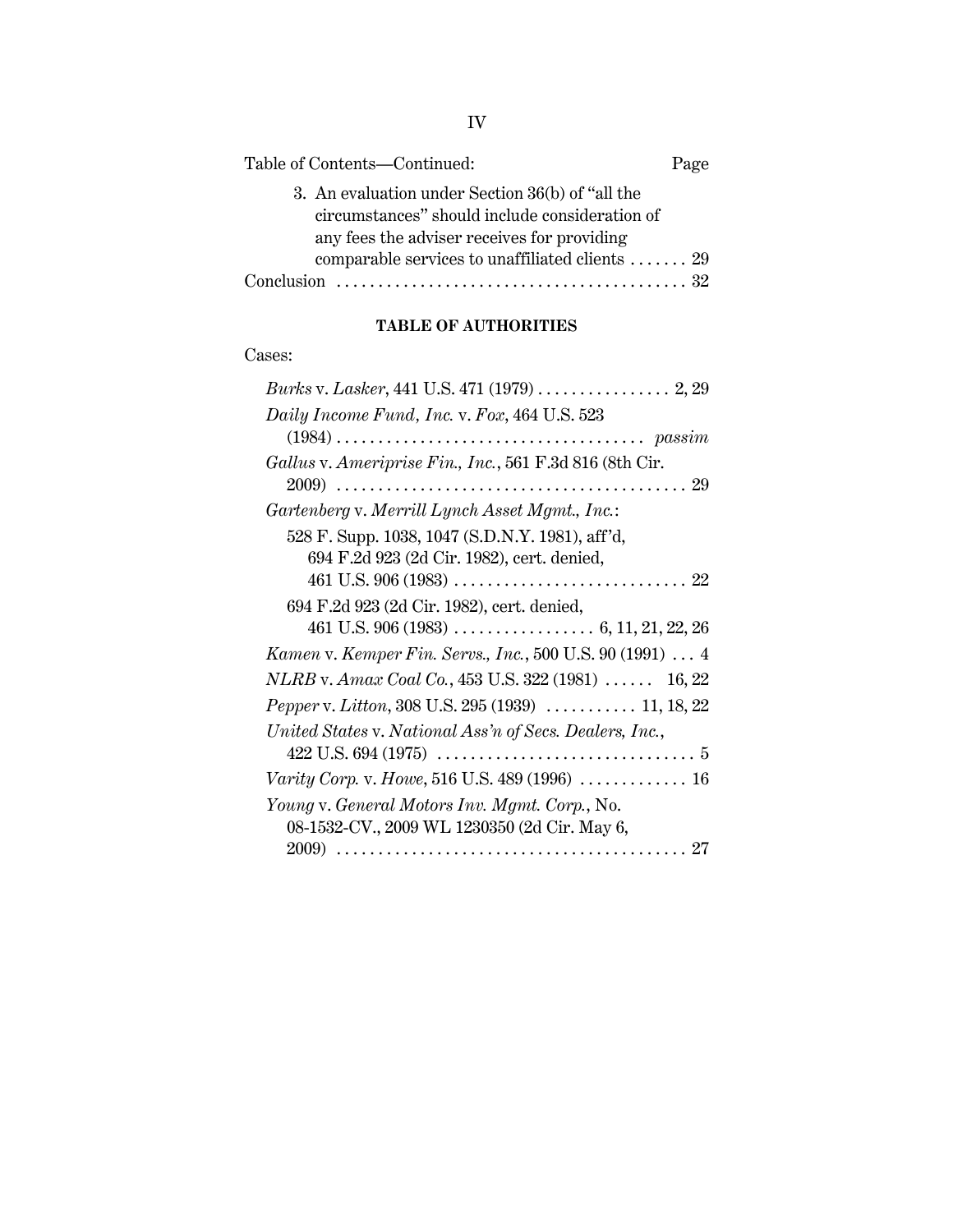| Table of Contents-Continued:                                                                                                                      | Page |
|---------------------------------------------------------------------------------------------------------------------------------------------------|------|
| 3. An evaluation under Section 36(b) of "all the<br>circumstances" should include consideration of<br>any fees the adviser receives for providing |      |
| comparable services to unaffiliated clients  29                                                                                                   |      |

# **TABLE OF AUTHORITIES**

# Cases:

| Daily Income Fund, Inc. v. Fox, 464 U.S. 523               |
|------------------------------------------------------------|
|                                                            |
| Gallus v. Ameriprise Fin., Inc., 561 F.3d 816 (8th Cir.    |
|                                                            |
| Gartenberg v. Merrill Lynch Asset Mgmt., Inc.:             |
| 528 F. Supp. 1038, 1047 (S.D.N.Y. 1981), aff'd,            |
| 694 F.2d 923 (2d Cir. 1982), cert. denied,                 |
|                                                            |
| 694 F.2d 923 (2d Cir. 1982), cert. denied,                 |
|                                                            |
| Kamen v. Kemper Fin. Servs., Inc., 500 U.S. 90 (1991)  4   |
| NLRB v. Amax Coal Co., 453 U.S. 322 (1981) $\ldots$ 16, 22 |
|                                                            |
| United States v. National Ass'n of Secs. Dealers, Inc.,    |
|                                                            |
| Varity Corp. v. Howe, 516 U.S. 489 (1996)  16              |
| Young v. General Motors Inv. Mgmt. Corp., No.              |
| 08-1532-CV., 2009 WL 1230350 (2d Cir. May 6,               |
|                                                            |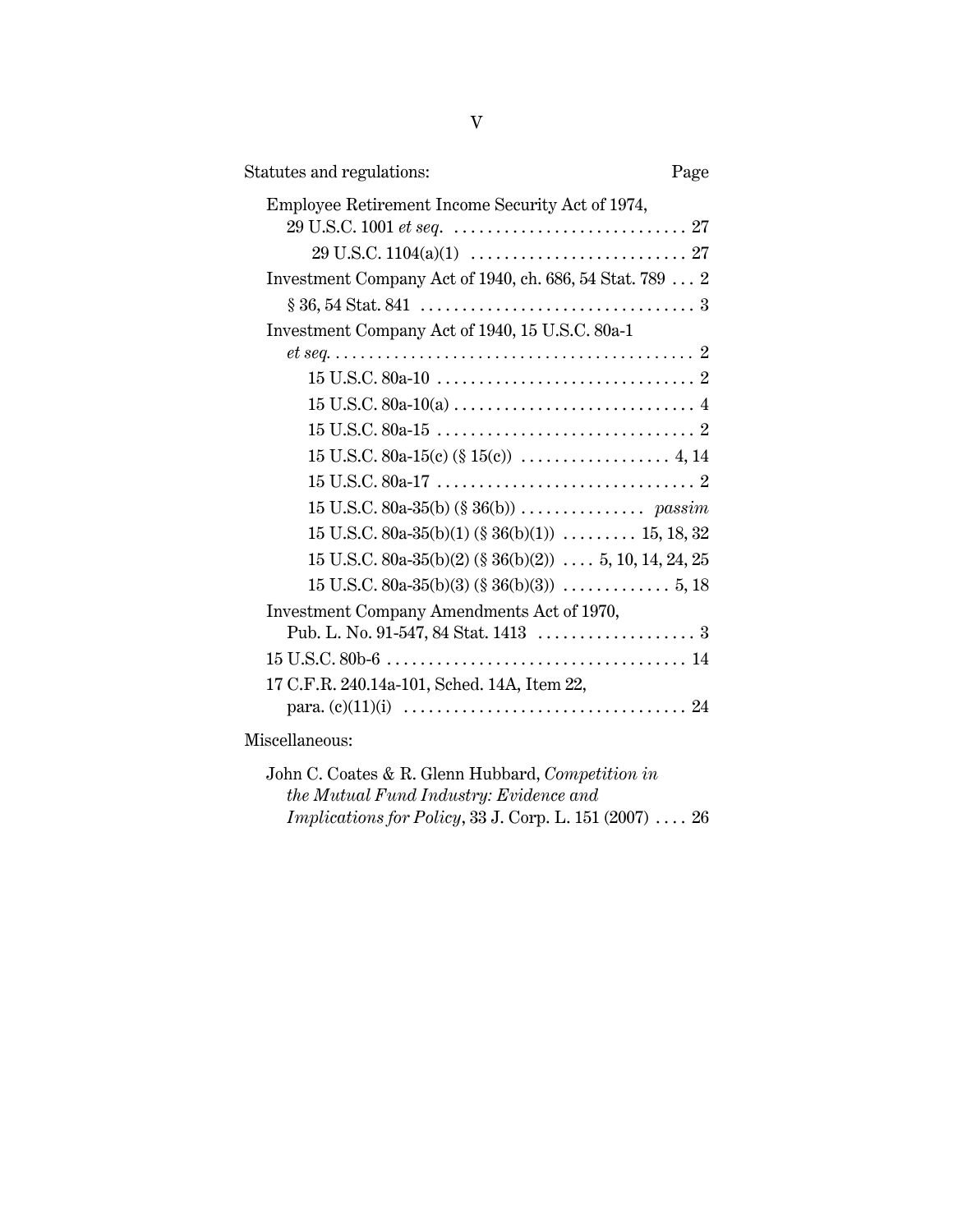| Statutes and regulations:                                | Page |
|----------------------------------------------------------|------|
| Employee Retirement Income Security Act of 1974,         |      |
|                                                          |      |
|                                                          |      |
| Investment Company Act of 1940, ch. 686, 54 Stat. 789  2 |      |
|                                                          |      |
| Investment Company Act of 1940, 15 U.S.C. 80a-1          |      |
|                                                          |      |
|                                                          |      |
|                                                          |      |
|                                                          |      |
|                                                          |      |
|                                                          |      |
|                                                          |      |
| 15 U.S.C. 80a-35(b)(1) (§ 36(b)(1))  15, 18, 32          |      |
| $15$ U.S.C. 80a-35(b)(2) (§ 36(b)(2))  5, 10, 14, 24, 25 |      |
|                                                          |      |
| Investment Company Amendments Act of 1970,               |      |
|                                                          |      |
|                                                          |      |
| 17 C.F.R. 240.14a-101, Sched. 14A, Item 22,              |      |
|                                                          |      |
| Miscellaneous:                                           |      |

| John C. Coates & R. Glenn Hubbard, Competition in               |
|-----------------------------------------------------------------|
| the Mutual Fund Industry: Evidence and                          |
| <i>Implications for Policy</i> , 33 J. Corp. L. 151 $(2007)$ 26 |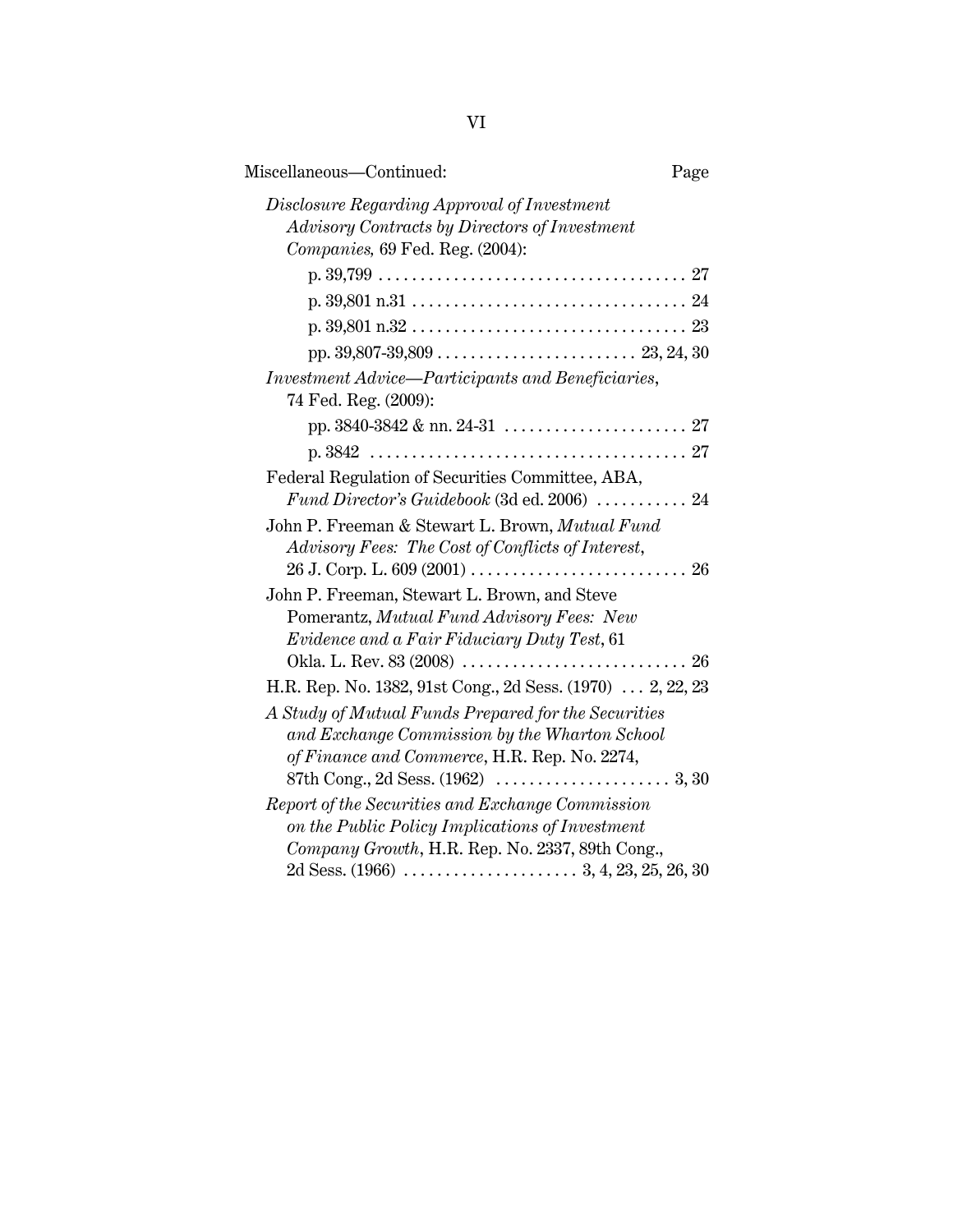| Miscellaneous-Continued:                                                                                                                               | Page |
|--------------------------------------------------------------------------------------------------------------------------------------------------------|------|
| Disclosure Regarding Approval of Investment<br>Advisory Contracts by Directors of Investment<br>Companies, 69 Fed. Reg. (2004):                        |      |
|                                                                                                                                                        |      |
|                                                                                                                                                        |      |
|                                                                                                                                                        |      |
|                                                                                                                                                        |      |
| Investment Advice—Participants and Beneficiaries,<br>74 Fed. Reg. (2009):                                                                              |      |
|                                                                                                                                                        |      |
|                                                                                                                                                        |      |
| Federal Regulation of Securities Committee, ABA,                                                                                                       |      |
| Fund Director's Guidebook (3d ed. 2006)  24                                                                                                            |      |
| John P. Freeman & Stewart L. Brown, Mutual Fund<br>Advisory Fees: The Cost of Conflicts of Interest,                                                   | 26   |
| John P. Freeman, Stewart L. Brown, and Steve<br>Pomerantz, Mutual Fund Advisory Fees: New<br>Evidence and a Fair Fiduciary Duty Test, 61               |      |
|                                                                                                                                                        |      |
| H.R. Rep. No. 1382, 91st Cong., 2d Sess. (1970)  2, 22, 23                                                                                             |      |
| A Study of Mutual Funds Prepared for the Securities<br>and Exchange Commission by the Wharton School<br>of Finance and Commerce, H.R. Rep. No. 2274,   |      |
| Report of the Securities and Exchange Commission<br>on the Public Policy Implications of Investment<br>Company Growth, H.R. Rep. No. 2337, 89th Cong., |      |
|                                                                                                                                                        |      |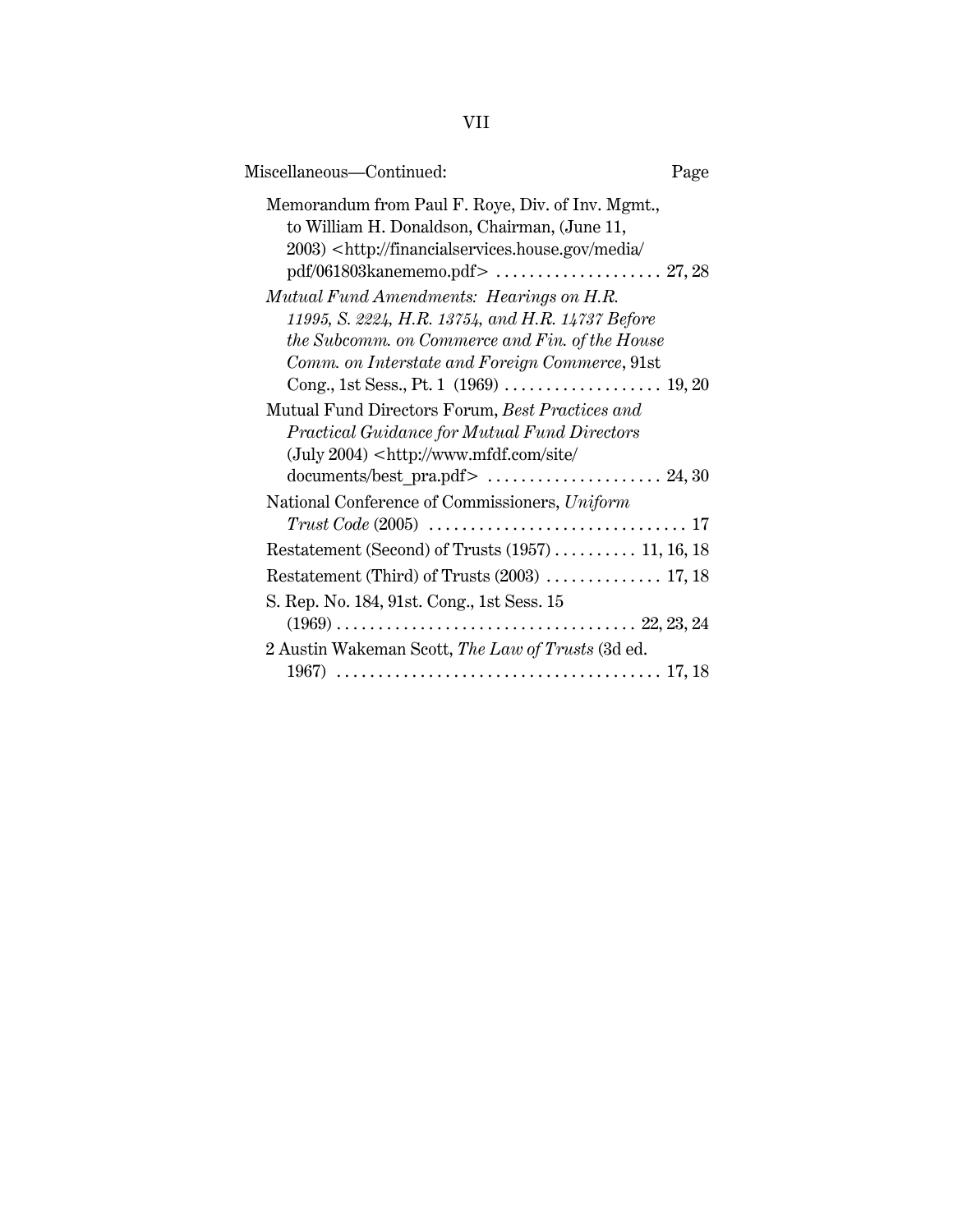| ٠ |
|---|
|---|

| Miscellaneous-Continued:                                                                                                                                                                                   | Page |
|------------------------------------------------------------------------------------------------------------------------------------------------------------------------------------------------------------|------|
| Memorandum from Paul F. Roye, Div. of Inv. Mgmt.,<br>to William H. Donaldson, Chairman, (June 11,<br>2003) <http: <br="" financialservices.house.gov="" media="">pdf/061803kanememo.pdf&gt;  27,28</http:> |      |
| Mutual Fund Amendments: Hearings on H.R.<br>11995, S. 2224, H.R. 13754, and H.R. 14737 Before<br>the Subcomm. on Commerce and Fin. of the House<br>Comm. on Interstate and Foreign Commerce, 91st          |      |
| Mutual Fund Directors Forum, Best Practices and<br>Practical Guidance for Mutual Fund Directors<br>$(July 2004) <$ http://www.mfdf.com/site/<br>documents/best_pra.pdf>  24,30                             |      |
| National Conference of Commissioners, Uniform<br>$Trust Code (2005) \ldots \ldots \ldots \ldots \ldots \ldots \ldots \ldots \ldots \ldots 17$                                                              |      |
| Restatement (Second) of Trusts $(1957)$ 11, 16, 18                                                                                                                                                         |      |
| Restatement (Third) of Trusts (2003)  17, 18                                                                                                                                                               |      |
| S. Rep. No. 184, 91st. Cong., 1st Sess. 15                                                                                                                                                                 |      |
| 2 Austin Wakeman Scott, The Law of Trusts (3d ed.                                                                                                                                                          |      |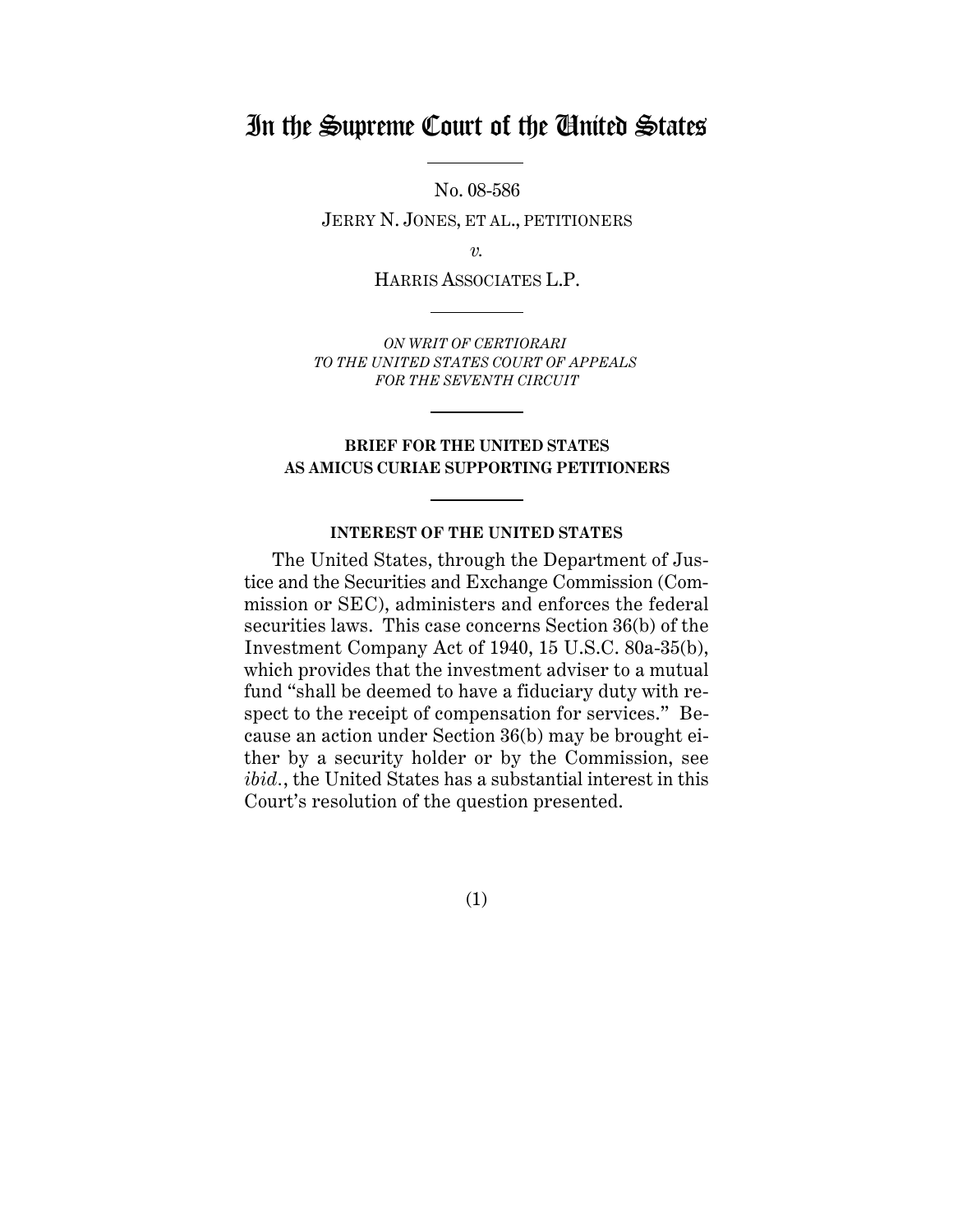# In the Supreme Court of the United States

No. 08-586

JERRY N. JONES, ET AL., PETITIONERS

*v.*

HARRIS ASSOCIATES L.P.

*ON WRIT OF CERTIORARI TO THE UNITED STATES COURT OF APPEALS FOR THE SEVENTH CIRCUIT*

## **BRIEF FOR THE UNITED STATES AS AMICUS CURIAE SUPPORTING PETITIONERS**

## **INTEREST OF THE UNITED STATES**

The United States, through the Department of Justice and the Securities and Exchange Commission (Commission or SEC), administers and enforces the federal securities laws. This case concerns Section 36(b) of the Investment Company Act of 1940, 15 U.S.C. 80a-35(b), which provides that the investment adviser to a mutual fund "shall be deemed to have a fiduciary duty with respect to the receipt of compensation for services." Because an action under Section 36(b) may be brought either by a security holder or by the Commission, see *ibid.*, the United States has a substantial interest in this Court's resolution of the question presented.

(1)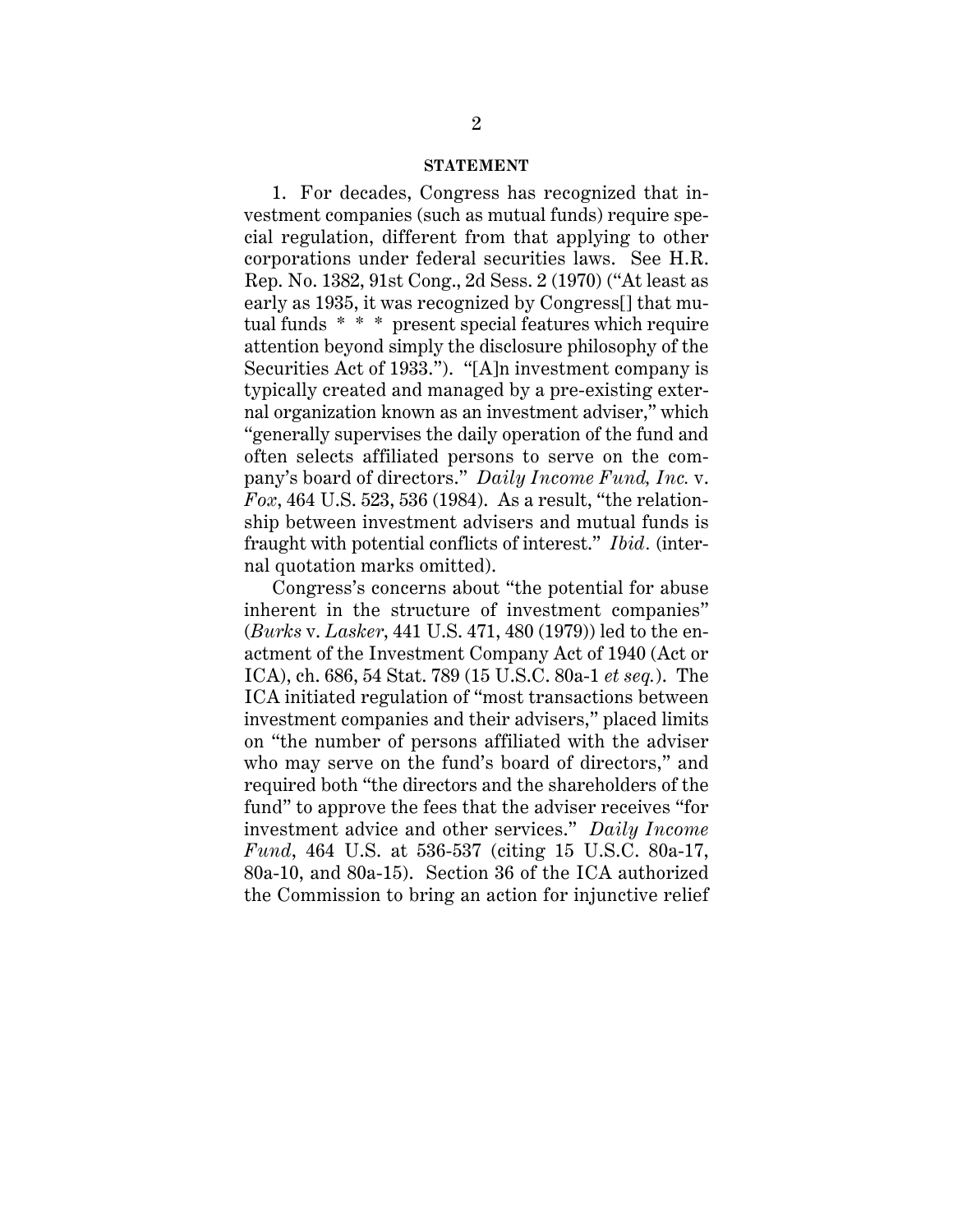#### **STATEMENT**

1. For decades, Congress has recognized that investment companies (such as mutual funds) require special regulation, different from that applying to other corporations under federal securities laws. See H.R. Rep. No. 1382, 91st Cong., 2d Sess. 2 (1970) ("At least as early as 1935, it was recognized by Congress[] that mutual funds \* \* \* present special features which require attention beyond simply the disclosure philosophy of the Securities Act of 1933."). "[A]n investment company is typically created and managed by a pre-existing external organization known as an investment adviser," which "generally supervises the daily operation of the fund and often selects affiliated persons to serve on the company's board of directors." *Daily Income Fund, Inc.* v. *Fox*, 464 U.S. 523, 536 (1984). As a result, "the relationship between investment advisers and mutual funds is fraught with potential conflicts of interest." *Ibid.* (internal quotation marks omitted).

Congress's concerns about "the potential for abuse inherent in the structure of investment companies" (*Burks* v. *Lasker*, 441 U.S. 471, 480 (1979)) led to the enactment of the Investment Company Act of 1940 (Act or ICA), ch. 686, 54 Stat. 789 (15 U.S.C. 80a-1 *et seq.*). The ICA initiated regulation of "most transactions between investment companies and their advisers," placed limits on "the number of persons affiliated with the adviser who may serve on the fund's board of directors," and required both "the directors and the shareholders of the fund" to approve the fees that the adviser receives "for investment advice and other services." *Daily Income Fund*, 464 U.S. at 536-537 (citing 15 U.S.C. 80a-17, 80a-10, and 80a-15). Section 36 of the ICA authorized the Commission to bring an action for injunctive relief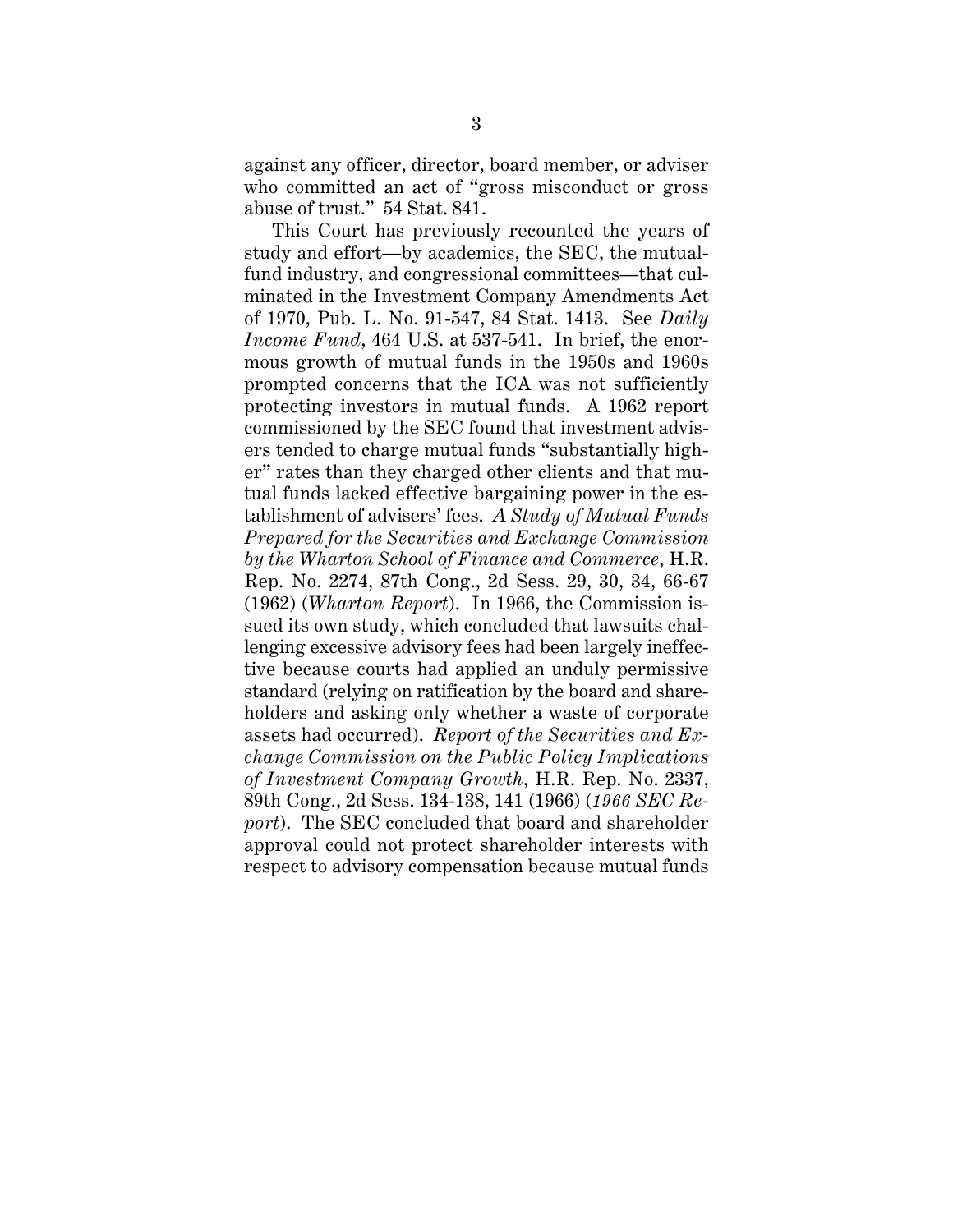against any officer, director, board member, or adviser who committed an act of "gross misconduct or gross abuse of trust." 54 Stat. 841.

This Court has previously recounted the years of study and effort—by academics, the SEC, the mutualfund industry, and congressional committees—that culminated in the Investment Company Amendments Act of 1970, Pub. L. No. 91-547, 84 Stat. 1413. See *Daily Income Fund*, 464 U.S. at 537-541. In brief, the enormous growth of mutual funds in the 1950s and 1960s prompted concerns that the ICA was not sufficiently protecting investors in mutual funds. A 1962 report commissioned by the SEC found that investment advisers tended to charge mutual funds "substantially higher" rates than they charged other clients and that mutual funds lacked effective bargaining power in the establishment of advisers' fees. *A Study of Mutual Funds Prepared for the Securities and Exchange Commission by the Wharton School of Finance and Commerce*, H.R. Rep. No. 2274, 87th Cong., 2d Sess. 29, 30, 34, 66-67 (1962) (*Wharton Report*). In 1966, the Commission issued its own study, which concluded that lawsuits challenging excessive advisory fees had been largely ineffective because courts had applied an unduly permissive standard (relying on ratification by the board and shareholders and asking only whether a waste of corporate assets had occurred). *Report of the Securities and Exchange Commission on the Public Policy Implications of Investment Company Growth*, H.R. Rep. No. 2337, 89th Cong., 2d Sess. 134-138, 141 (1966) (*1966 SEC Report*). The SEC concluded that board and shareholder approval could not protect shareholder interests with respect to advisory compensation because mutual funds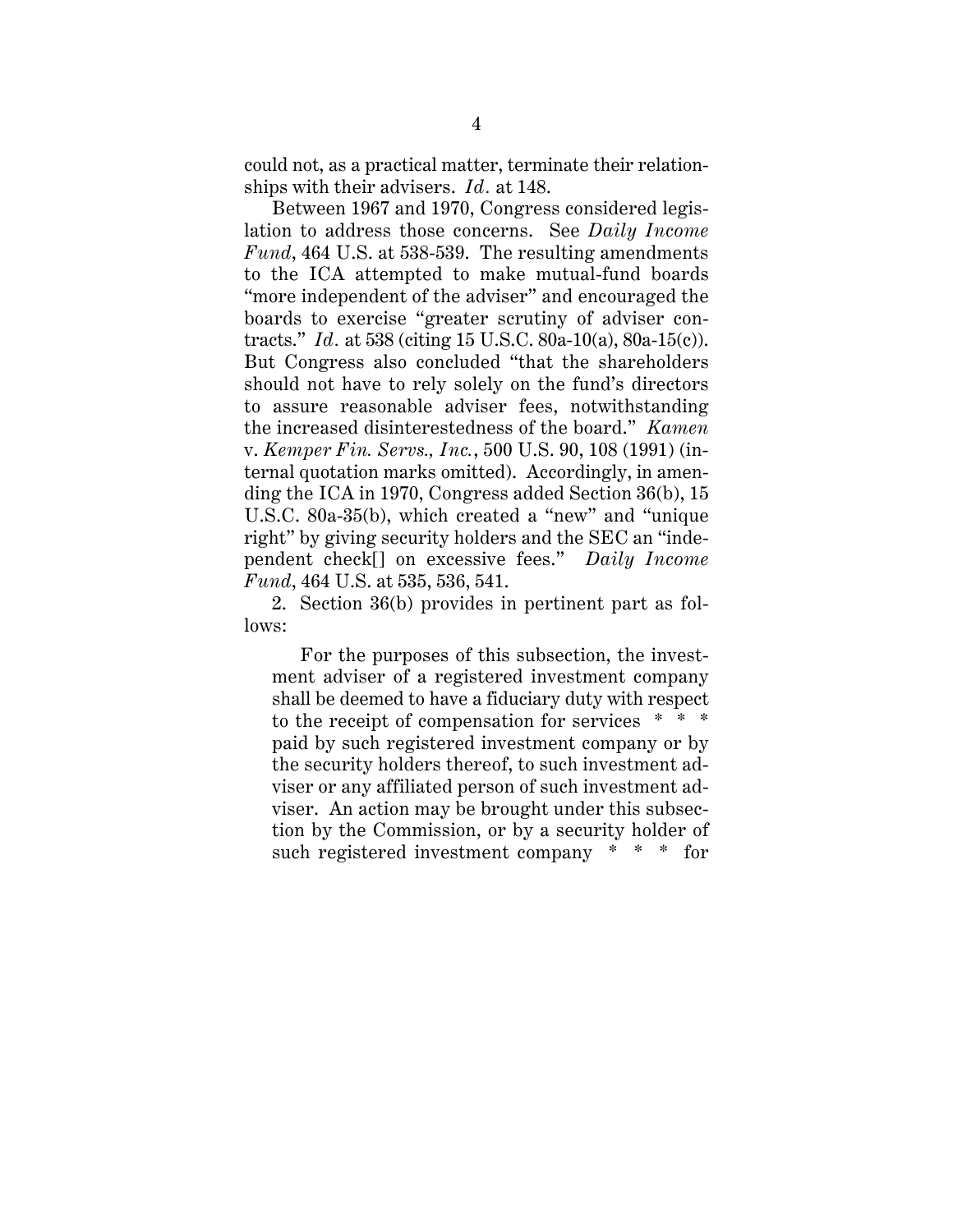could not, as a practical matter, terminate their relationships with their advisers. *Id.* at 148.

Between 1967 and 1970, Congress considered legislation to address those concerns. See *Daily Income Fund*, 464 U.S. at 538-539. The resulting amendments to the ICA attempted to make mutual-fund boards "more independent of the adviser" and encouraged the boards to exercise "greater scrutiny of adviser contracts." *Id.* at 538 (citing 15 U.S.C. 80a-10(a), 80a-15(c)). But Congress also concluded "that the shareholders should not have to rely solely on the fund's directors to assure reasonable adviser fees, notwithstanding the increased disinterestedness of the board." *Kamen* v. *Kemper Fin. Servs., Inc.*, 500 U.S. 90, 108 (1991) (internal quotation marks omitted). Accordingly, in amending the ICA in 1970, Congress added Section 36(b), 15 U.S.C. 80a-35(b), which created a "new" and "unique right" by giving security holders and the SEC an "independent check[] on excessive fees." *Daily Income Fund*, 464 U.S. at 535, 536, 541.

2. Section 36(b) provides in pertinent part as follows:

For the purposes of this subsection, the investment adviser of a registered investment company shall be deemed to have a fiduciary duty with respect to the receipt of compensation for services \* \* \* paid by such registered investment company or by the security holders thereof, to such investment adviser or any affiliated person of such investment adviser. An action may be brought under this subsection by the Commission, or by a security holder of such registered investment company \* \* \* for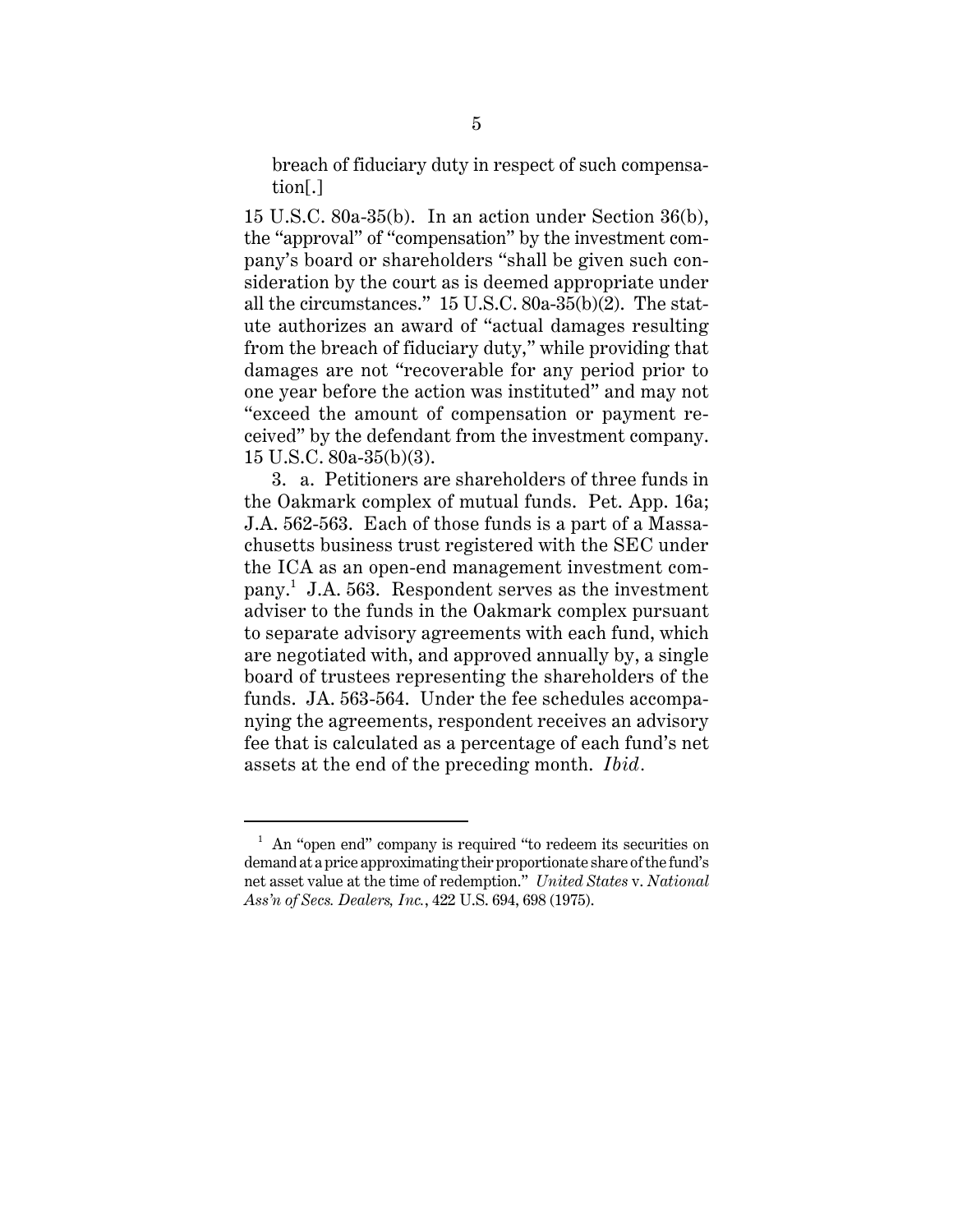breach of fiduciary duty in respect of such compensation[.]

15 U.S.C. 80a-35(b). In an action under Section 36(b), the "approval" of "compensation" by the investment company's board or shareholders "shall be given such consideration by the court as is deemed appropriate under all the circumstances." 15 U.S.C. 80a-35(b)(2). The statute authorizes an award of "actual damages resulting from the breach of fiduciary duty," while providing that damages are not "recoverable for any period prior to one year before the action was instituted" and may not "exceed the amount of compensation or payment received" by the defendant from the investment company. 15 U.S.C. 80a-35(b)(3).

3. a. Petitioners are shareholders of three funds in the Oakmark complex of mutual funds. Pet. App. 16a; J.A. 562-563. Each of those funds is a part of a Massachusetts business trust registered with the SEC under the ICA as an open-end management investment company.<sup>1</sup> J.A. 563. Respondent serves as the investment adviser to the funds in the Oakmark complex pursuant to separate advisory agreements with each fund, which are negotiated with, and approved annually by, a single board of trustees representing the shareholders of the funds. JA. 563-564. Under the fee schedules accompanying the agreements, respondent receives an advisory fee that is calculated as a percentage of each fund's net assets at the end of the preceding month. *Ibid.*

 $1$  An "open end" company is required "to redeem its securities on demand at a price approximating their proportionate share of the fund's net asset value at the time of redemption." *United States* v. *National Ass'n of Secs. Dealers, Inc.*, 422 U.S. 694, 698 (1975).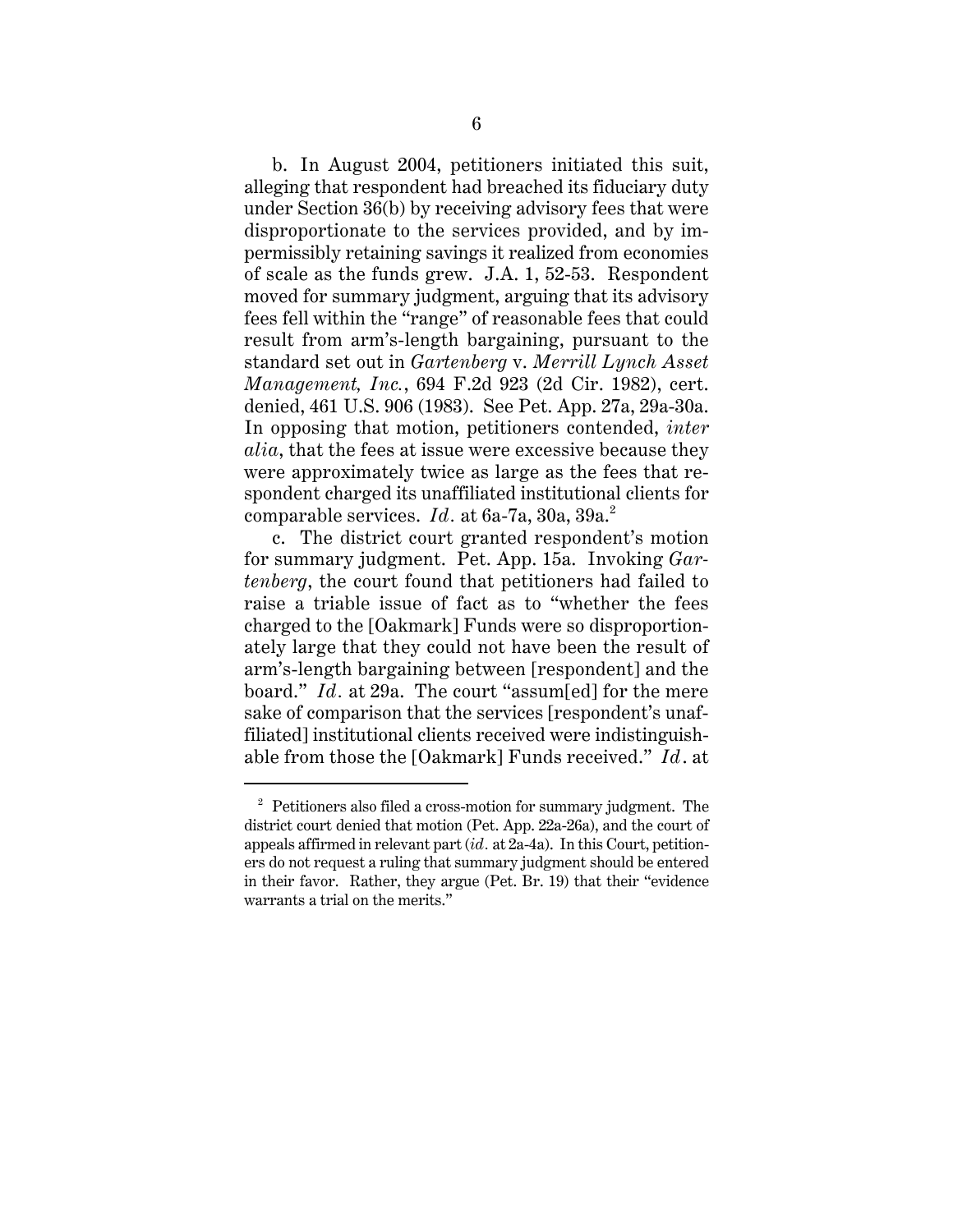b. In August 2004, petitioners initiated this suit, alleging that respondent had breached its fiduciary duty under Section 36(b) by receiving advisory fees that were disproportionate to the services provided, and by impermissibly retaining savings it realized from economies of scale as the funds grew. J.A. 1, 52-53. Respondent moved for summary judgment, arguing that its advisory fees fell within the "range" of reasonable fees that could result from arm's-length bargaining, pursuant to the standard set out in *Gartenberg* v. *Merrill Lynch Asset Management, Inc.*, 694 F.2d 923 (2d Cir. 1982), cert. denied, 461 U.S. 906 (1983). See Pet. App. 27a, 29a-30a. In opposing that motion, petitioners contended, *inter alia*, that the fees at issue were excessive because they were approximately twice as large as the fees that respondent charged its unaffiliated institutional clients for comparable services. *Id.* at 6a-7a, 30a, 39a.<sup>2</sup>

c. The district court granted respondent's motion for summary judgment. Pet. App. 15a. Invoking *Gartenberg*, the court found that petitioners had failed to raise a triable issue of fact as to "whether the fees charged to the [Oakmark] Funds were so disproportionately large that they could not have been the result of arm's-length bargaining between [respondent] and the board." *Id.* at 29a. The court "assum[ed] for the mere sake of comparison that the services [respondent's unaffiliated] institutional clients received were indistinguishable from those the [Oakmark] Funds received." *Id*. at

<sup>&</sup>lt;sup>2</sup> Petitioners also filed a cross-motion for summary judgment. The district court denied that motion (Pet. App. 22a-26a), and the court of appeals affirmed in relevant part (*id.* at 2a-4a). In this Court, petitioners do not request a ruling that summary judgment should be entered in their favor. Rather, they argue (Pet. Br. 19) that their "evidence warrants a trial on the merits."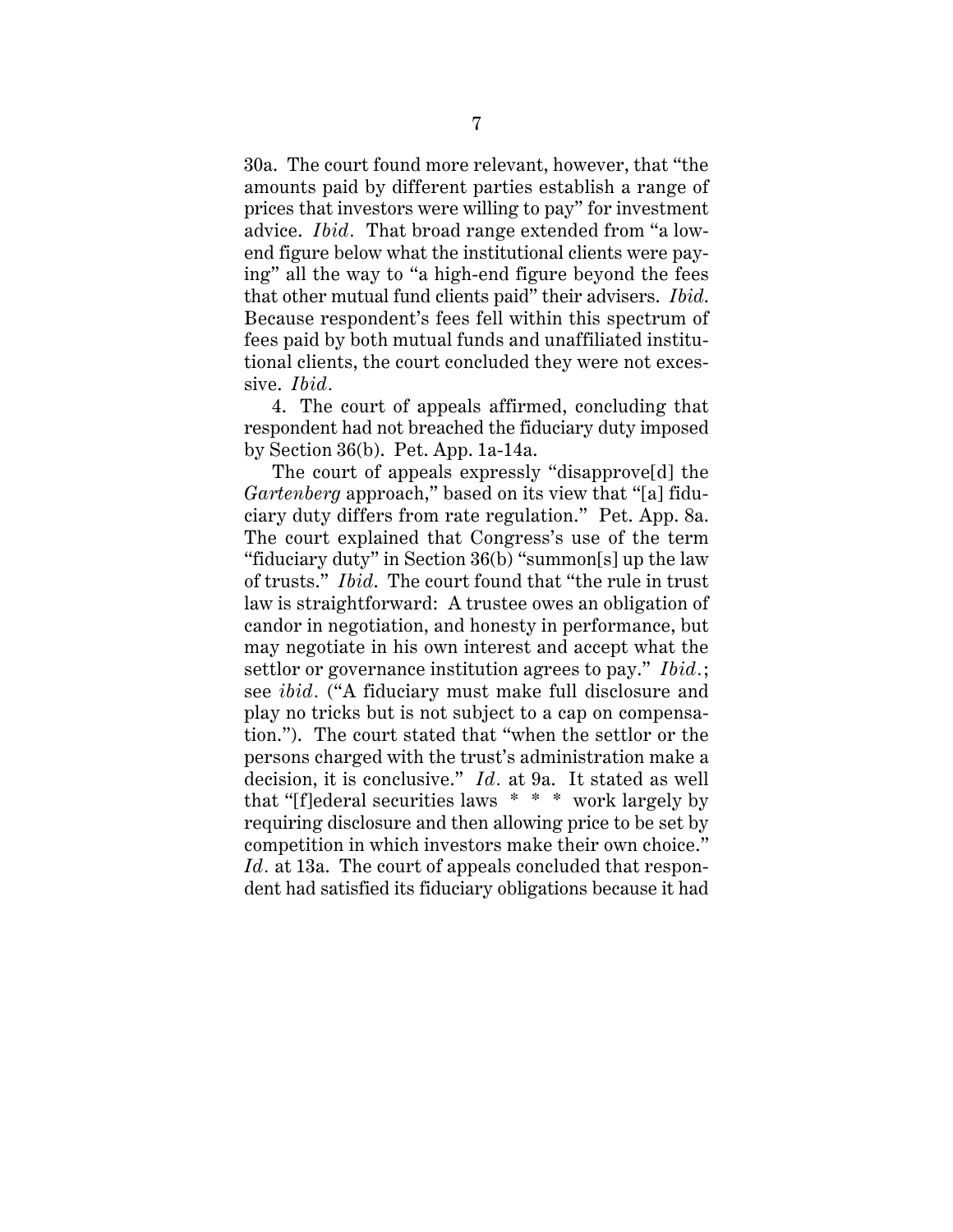30a. The court found more relevant, however, that "the amounts paid by different parties establish a range of prices that investors were willing to pay" for investment advice. *Ibid.* That broad range extended from "a lowend figure below what the institutional clients were paying" all the way to "a high-end figure beyond the fees that other mutual fund clients paid" their advisers. *Ibid*. Because respondent's fees fell within this spectrum of fees paid by both mutual funds and unaffiliated institutional clients, the court concluded they were not excessive. *Ibid.*

4. The court of appeals affirmed, concluding that respondent had not breached the fiduciary duty imposed by Section 36(b). Pet. App. 1a-14a.

The court of appeals expressly "disapprove[d] the *Gartenberg* approach," based on its view that "[a] fiduciary duty differs from rate regulation." Pet. App. 8a. The court explained that Congress's use of the term "fiduciary duty" in Section 36(b) "summon[s] up the law of trusts." *Ibid*. The court found that "the rule in trust law is straightforward: A trustee owes an obligation of candor in negotiation, and honesty in performance, but may negotiate in his own interest and accept what the settlor or governance institution agrees to pay." *Ibid.*; see *ibid.* ("A fiduciary must make full disclosure and play no tricks but is not subject to a cap on compensation."). The court stated that "when the settlor or the persons charged with the trust's administration make a decision, it is conclusive." *Id.* at 9a. It stated as well that "[f]ederal securities laws \* \* \* work largely by requiring disclosure and then allowing price to be set by competition in which investors make their own choice." *Id.* at 13a. The court of appeals concluded that respondent had satisfied its fiduciary obligations because it had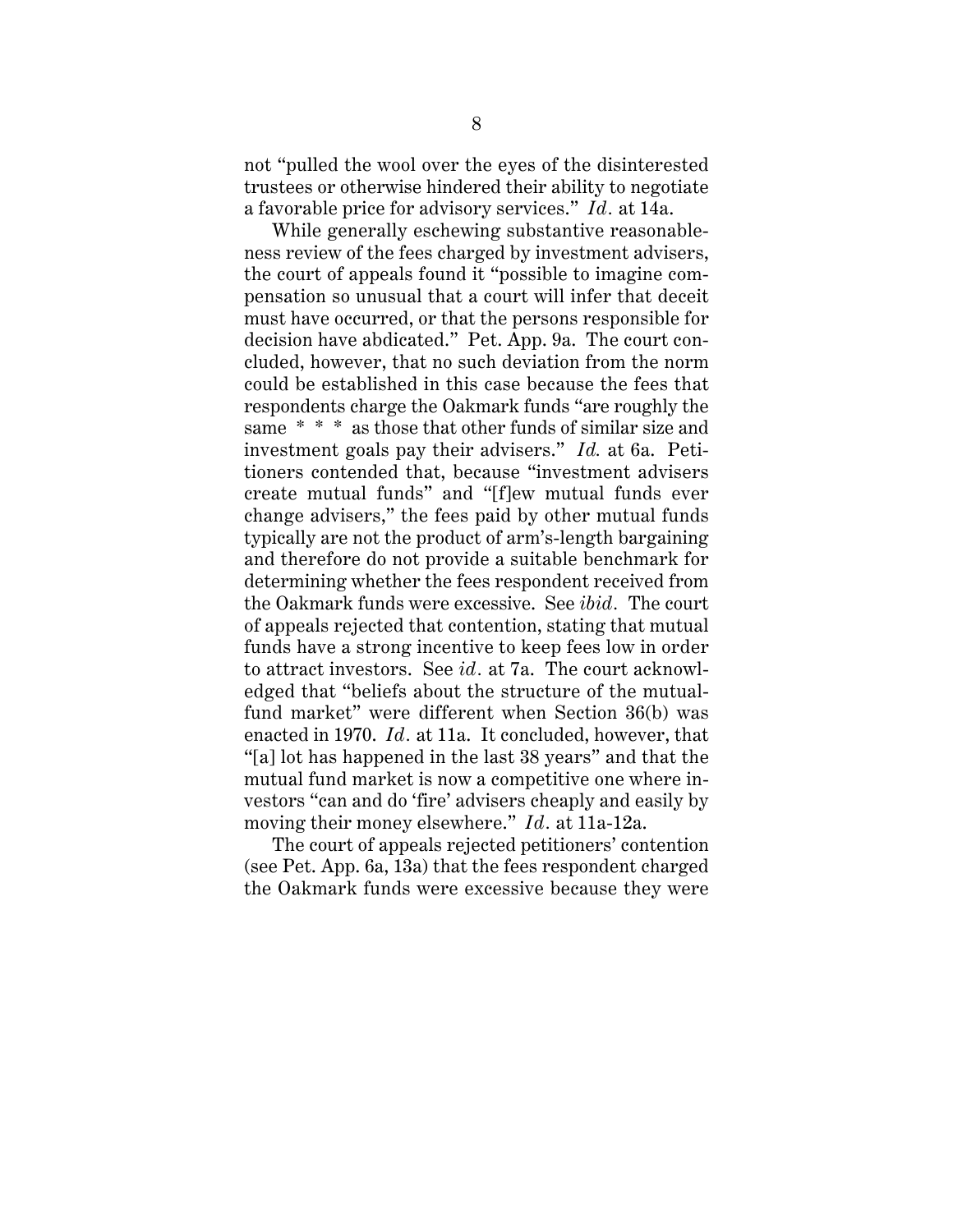not "pulled the wool over the eyes of the disinterested trustees or otherwise hindered their ability to negotiate a favorable price for advisory services." *Id.* at 14a.

While generally eschewing substantive reasonableness review of the fees charged by investment advisers, the court of appeals found it "possible to imagine compensation so unusual that a court will infer that deceit must have occurred, or that the persons responsible for decision have abdicated." Pet. App. 9a. The court concluded, however, that no such deviation from the norm could be established in this case because the fees that respondents charge the Oakmark funds "are roughly the same \* \* \* as those that other funds of similar size and investment goals pay their advisers." *Id.* at 6a. Petitioners contended that, because "investment advisers create mutual funds" and "[f]ew mutual funds ever change advisers," the fees paid by other mutual funds typically are not the product of arm's-length bargaining and therefore do not provide a suitable benchmark for determining whether the fees respondent received from the Oakmark funds were excessive. See *ibid.* The court of appeals rejected that contention, stating that mutual funds have a strong incentive to keep fees low in order to attract investors. See *id.* at 7a. The court acknowledged that "beliefs about the structure of the mutualfund market" were different when Section 36(b) was enacted in 1970. *Id.* at 11a. It concluded, however, that "[a] lot has happened in the last 38 years" and that the mutual fund market is now a competitive one where investors "can and do 'fire' advisers cheaply and easily by moving their money elsewhere." *Id.* at 11a-12a.

The court of appeals rejected petitioners' contention (see Pet. App. 6a, 13a) that the fees respondent charged the Oakmark funds were excessive because they were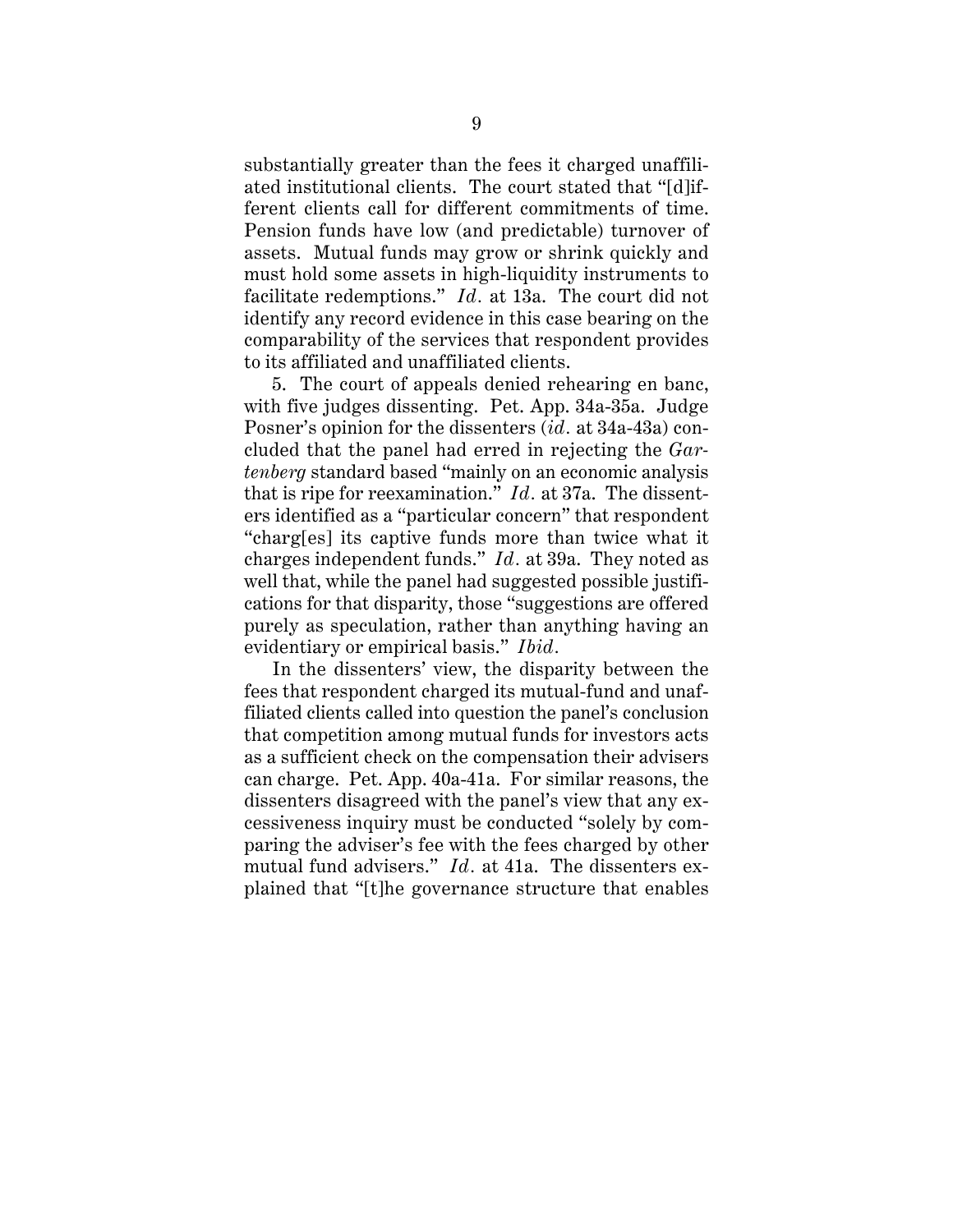substantially greater than the fees it charged unaffiliated institutional clients. The court stated that "[d]ifferent clients call for different commitments of time. Pension funds have low (and predictable) turnover of assets. Mutual funds may grow or shrink quickly and must hold some assets in high-liquidity instruments to facilitate redemptions." *Id.* at 13a. The court did not identify any record evidence in this case bearing on the comparability of the services that respondent provides to its affiliated and unaffiliated clients.

5. The court of appeals denied rehearing en banc, with five judges dissenting. Pet. App. 34a-35a. Judge Posner's opinion for the dissenters (*id.* at 34a-43a) concluded that the panel had erred in rejecting the *Gartenberg* standard based "mainly on an economic analysis that is ripe for reexamination." *Id.* at 37a. The dissenters identified as a "particular concern" that respondent "charg[es] its captive funds more than twice what it charges independent funds." *Id.* at 39a. They noted as well that, while the panel had suggested possible justifications for that disparity, those "suggestions are offered purely as speculation, rather than anything having an evidentiary or empirical basis." *Ibid.*

In the dissenters' view, the disparity between the fees that respondent charged its mutual-fund and unaffiliated clients called into question the panel's conclusion that competition among mutual funds for investors acts as a sufficient check on the compensation their advisers can charge. Pet. App. 40a-41a. For similar reasons, the dissenters disagreed with the panel's view that any excessiveness inquiry must be conducted "solely by comparing the adviser's fee with the fees charged by other mutual fund advisers." *Id.* at 41a. The dissenters explained that "[t]he governance structure that enables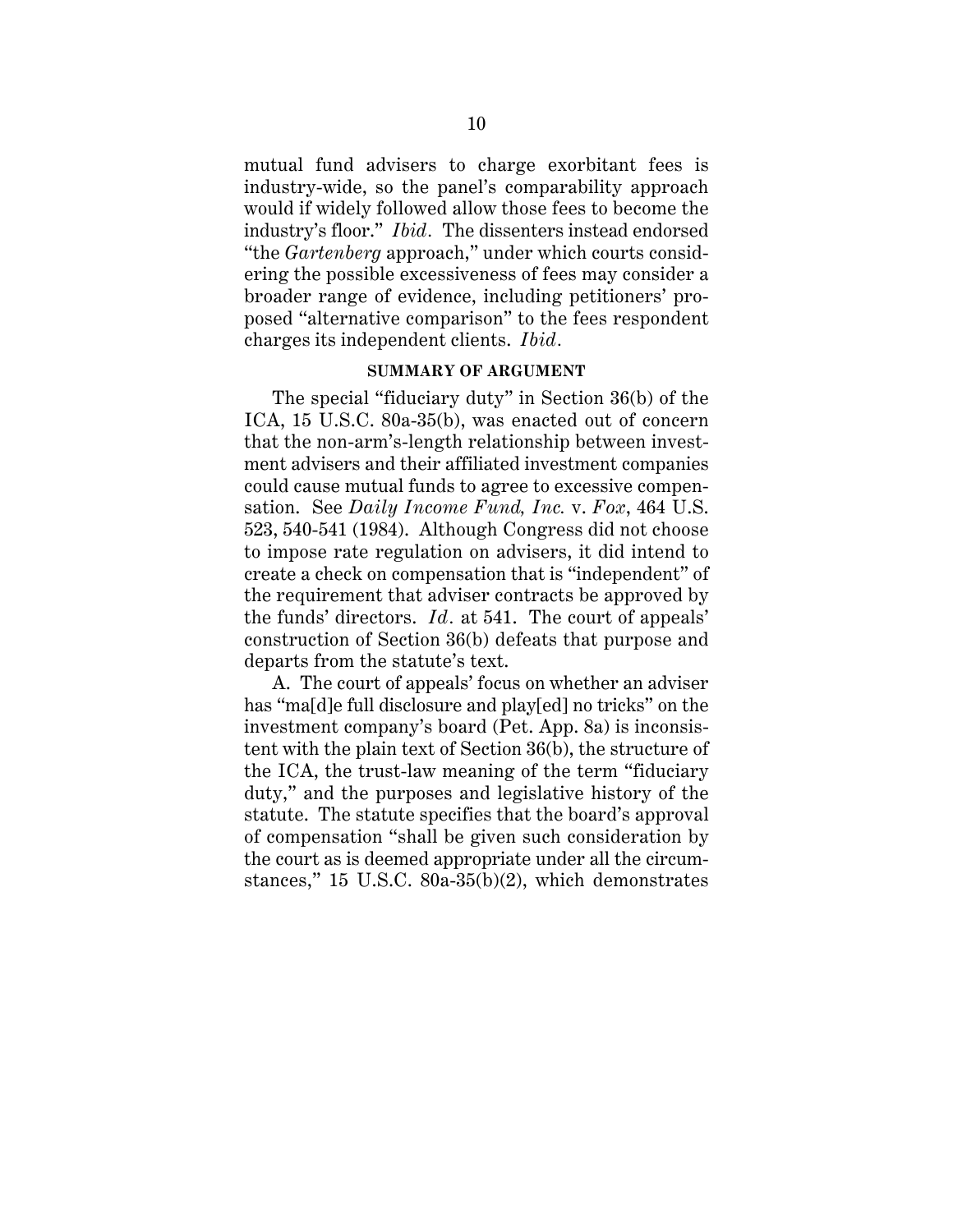mutual fund advisers to charge exorbitant fees is industry-wide, so the panel's comparability approach would if widely followed allow those fees to become the industry's floor." *Ibid.* The dissenters instead endorsed "the *Gartenberg* approach," under which courts considering the possible excessiveness of fees may consider a broader range of evidence, including petitioners' proposed "alternative comparison" to the fees respondent charges its independent clients. *Ibid.*

#### **SUMMARY OF ARGUMENT**

The special "fiduciary duty" in Section 36(b) of the ICA, 15 U.S.C. 80a-35(b), was enacted out of concern that the non-arm's-length relationship between investment advisers and their affiliated investment companies could cause mutual funds to agree to excessive compensation. See *Daily Income Fund, Inc.* v. *Fox*, 464 U.S. 523, 540-541 (1984). Although Congress did not choose to impose rate regulation on advisers, it did intend to create a check on compensation that is "independent" of the requirement that adviser contracts be approved by the funds' directors. *Id.* at 541. The court of appeals' construction of Section 36(b) defeats that purpose and departs from the statute's text.

A. The court of appeals' focus on whether an adviser has "ma<sup>[d]</sup>e full disclosure and play<sup>[ed]</sup> no tricks" on the investment company's board (Pet. App. 8a) is inconsistent with the plain text of Section 36(b), the structure of the ICA, the trust-law meaning of the term "fiduciary duty," and the purposes and legislative history of the statute. The statute specifies that the board's approval of compensation "shall be given such consideration by the court as is deemed appropriate under all the circumstances," 15 U.S.C. 80a-35(b)(2), which demonstrates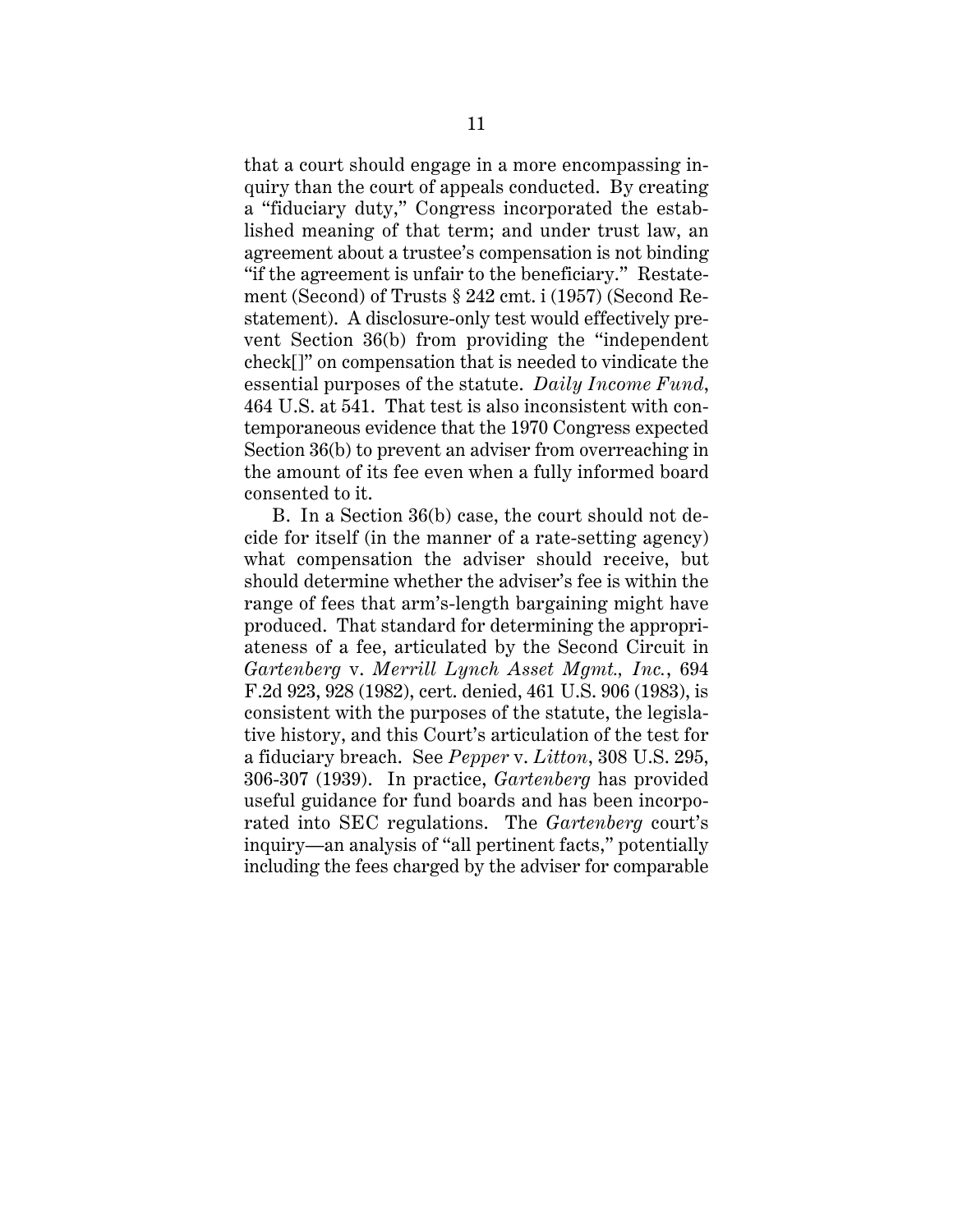that a court should engage in a more encompassing inquiry than the court of appeals conducted. By creating a "fiduciary duty," Congress incorporated the established meaning of that term; and under trust law, an agreement about a trustee's compensation is not binding "if the agreement is unfair to the beneficiary." Restatement (Second) of Trusts § 242 cmt. i (1957) (Second Restatement). A disclosure-only test would effectively prevent Section 36(b) from providing the "independent check[]" on compensation that is needed to vindicate the essential purposes of the statute. *Daily Income Fund*, 464 U.S. at 541. That test is also inconsistent with contemporaneous evidence that the 1970 Congress expected Section 36(b) to prevent an adviser from overreaching in the amount of its fee even when a fully informed board consented to it.

B. In a Section 36(b) case, the court should not decide for itself (in the manner of a rate-setting agency) what compensation the adviser should receive, but should determine whether the adviser's fee is within the range of fees that arm's-length bargaining might have produced. That standard for determining the appropriateness of a fee, articulated by the Second Circuit in *Gartenberg* v. *Merrill Lynch Asset Mgmt., Inc.*, 694 F.2d 923, 928 (1982), cert. denied, 461 U.S. 906 (1983), is consistent with the purposes of the statute, the legislative history, and this Court's articulation of the test for a fiduciary breach. See *Pepper* v. *Litton*, 308 U.S. 295, 306-307 (1939). In practice, *Gartenberg* has provided useful guidance for fund boards and has been incorporated into SEC regulations. The *Gartenberg* court's inquiry—an analysis of "all pertinent facts," potentially including the fees charged by the adviser for comparable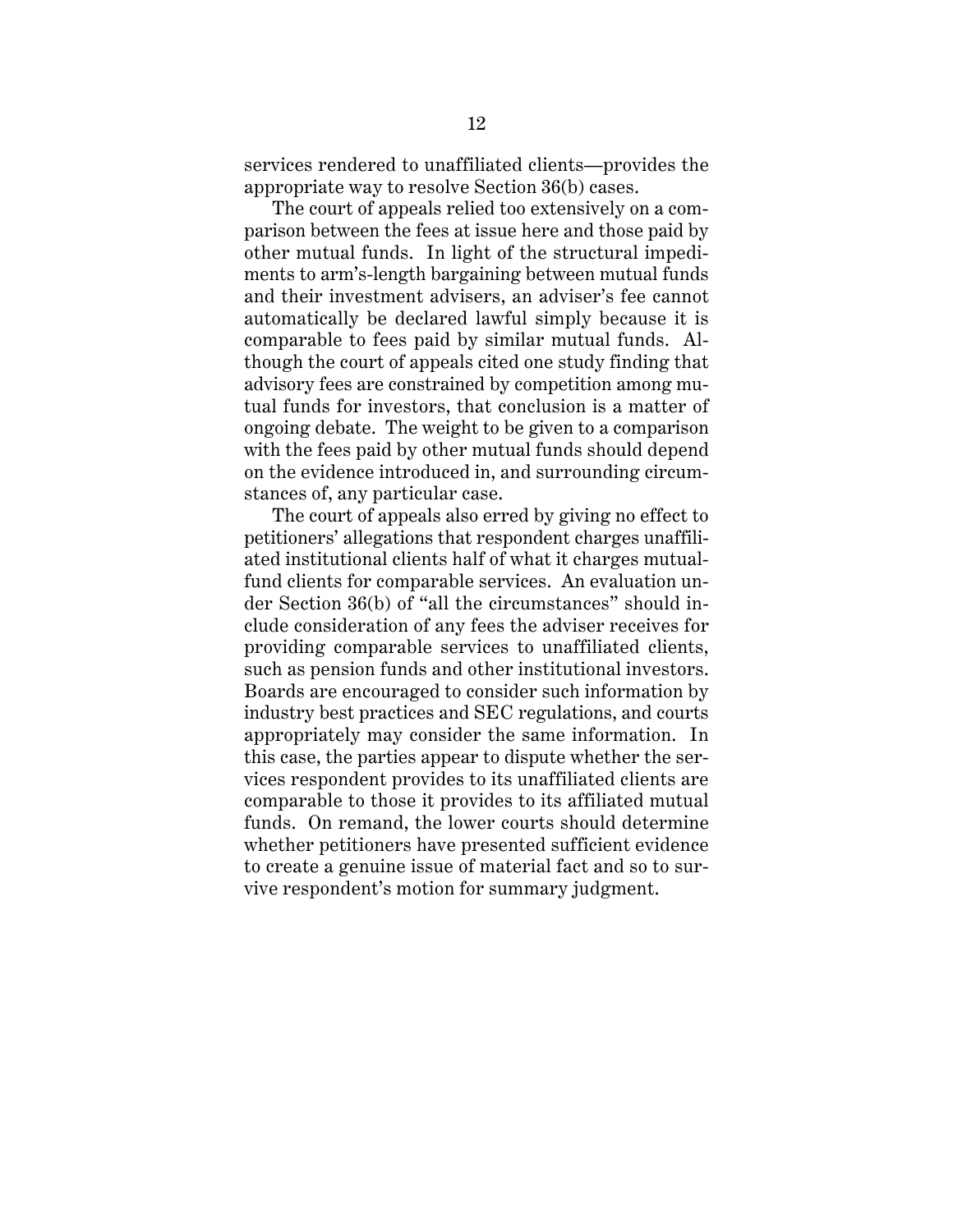services rendered to unaffiliated clients—provides the appropriate way to resolve Section 36(b) cases.

The court of appeals relied too extensively on a comparison between the fees at issue here and those paid by other mutual funds. In light of the structural impediments to arm's-length bargaining between mutual funds and their investment advisers, an adviser's fee cannot automatically be declared lawful simply because it is comparable to fees paid by similar mutual funds. Although the court of appeals cited one study finding that advisory fees are constrained by competition among mutual funds for investors, that conclusion is a matter of ongoing debate. The weight to be given to a comparison with the fees paid by other mutual funds should depend on the evidence introduced in, and surrounding circumstances of, any particular case.

The court of appeals also erred by giving no effect to petitioners' allegations that respondent charges unaffiliated institutional clients half of what it charges mutualfund clients for comparable services. An evaluation under Section 36(b) of "all the circumstances" should include consideration of any fees the adviser receives for providing comparable services to unaffiliated clients, such as pension funds and other institutional investors. Boards are encouraged to consider such information by industry best practices and SEC regulations, and courts appropriately may consider the same information. In this case, the parties appear to dispute whether the services respondent provides to its unaffiliated clients are comparable to those it provides to its affiliated mutual funds. On remand, the lower courts should determine whether petitioners have presented sufficient evidence to create a genuine issue of material fact and so to survive respondent's motion for summary judgment.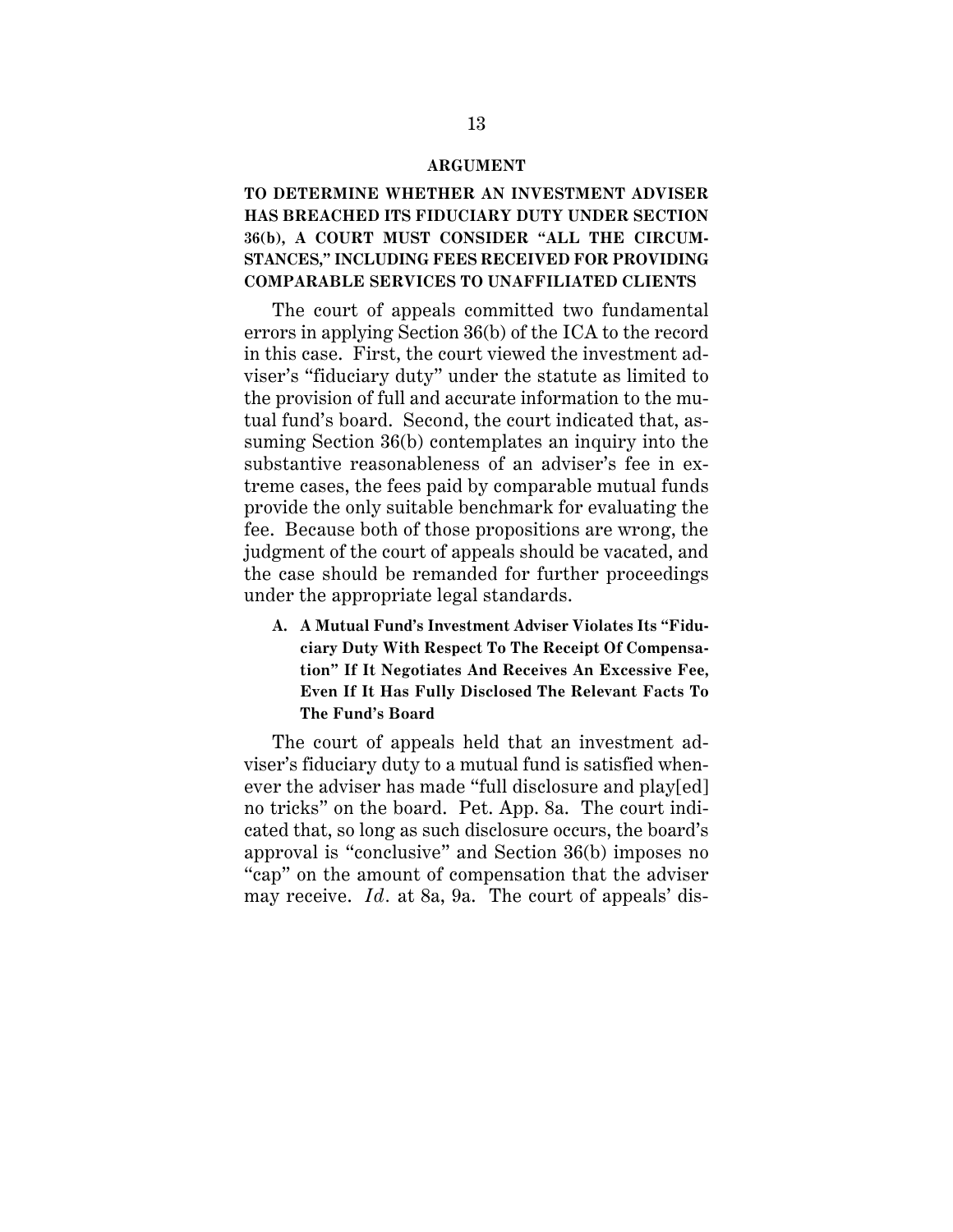#### **ARGUMENT**

# **TO DETERMINE WHETHER AN INVESTMENT ADVISER HAS BREACHED ITS FIDUCIARY DUTY UNDER SECTION 36(b), A COURT MUST CONSIDER "ALL THE CIRCUM-STANCES," INCLUDING FEES RECEIVED FOR PROVIDING COMPARABLE SERVICES TO UNAFFILIATED CLIENTS**

The court of appeals committed two fundamental errors in applying Section 36(b) of the ICA to the record in this case. First, the court viewed the investment adviser's "fiduciary duty" under the statute as limited to the provision of full and accurate information to the mutual fund's board. Second, the court indicated that, assuming Section 36(b) contemplates an inquiry into the substantive reasonableness of an adviser's fee in extreme cases, the fees paid by comparable mutual funds provide the only suitable benchmark for evaluating the fee. Because both of those propositions are wrong, the judgment of the court of appeals should be vacated, and the case should be remanded for further proceedings under the appropriate legal standards.

**A. A Mutual Fund's Investment Adviser Violates Its "Fiduciary Duty With Respect To The Receipt Of Compensation" If It Negotiates And Receives An Excessive Fee, Even If It Has Fully Disclosed The Relevant Facts To The Fund's Board**

The court of appeals held that an investment adviser's fiduciary duty to a mutual fund is satisfied whenever the adviser has made "full disclosure and play[ed] no tricks" on the board. Pet. App. 8a. The court indicated that, so long as such disclosure occurs, the board's approval is "conclusive" and Section 36(b) imposes no "cap" on the amount of compensation that the adviser may receive. *Id.* at 8a, 9a. The court of appeals' dis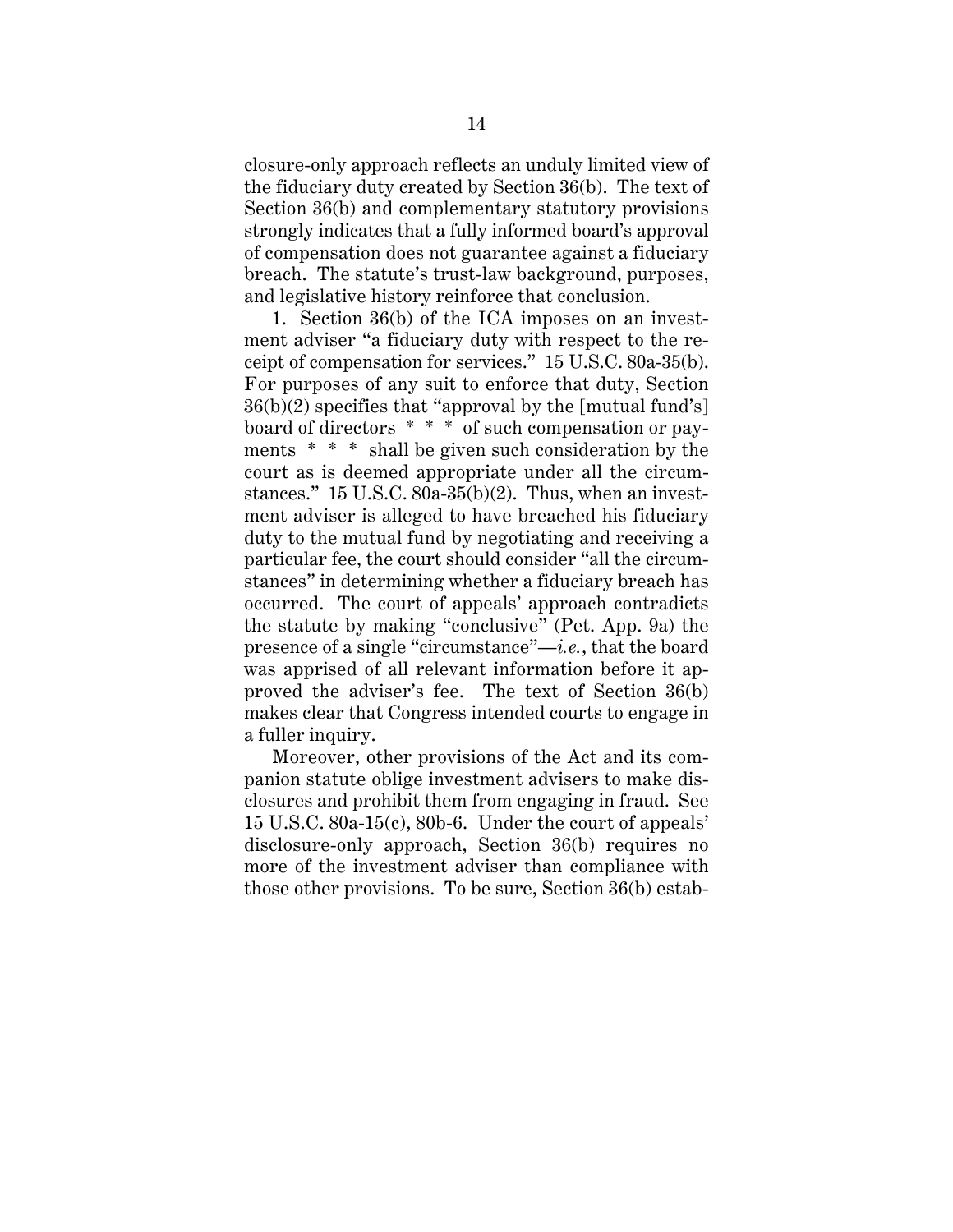closure-only approach reflects an unduly limited view of the fiduciary duty created by Section 36(b). The text of Section 36(b) and complementary statutory provisions strongly indicates that a fully informed board's approval of compensation does not guarantee against a fiduciary breach. The statute's trust-law background, purposes, and legislative history reinforce that conclusion.

1. Section 36(b) of the ICA imposes on an investment adviser "a fiduciary duty with respect to the receipt of compensation for services." 15 U.S.C. 80a-35(b). For purposes of any suit to enforce that duty, Section 36(b)(2) specifies that "approval by the [mutual fund's] board of directors \* \* \* of such compensation or payments \* \* \* shall be given such consideration by the court as is deemed appropriate under all the circumstances." 15 U.S.C.  $80a-35(b)(2)$ . Thus, when an investment adviser is alleged to have breached his fiduciary duty to the mutual fund by negotiating and receiving a particular fee, the court should consider "all the circumstances" in determining whether a fiduciary breach has occurred. The court of appeals' approach contradicts the statute by making "conclusive" (Pet. App. 9a) the presence of a single "circumstance"—*i.e.*, that the board was apprised of all relevant information before it approved the adviser's fee. The text of Section 36(b) makes clear that Congress intended courts to engage in a fuller inquiry.

Moreover, other provisions of the Act and its companion statute oblige investment advisers to make disclosures and prohibit them from engaging in fraud. See 15 U.S.C. 80a-15(c), 80b-6. Under the court of appeals' disclosure-only approach, Section 36(b) requires no more of the investment adviser than compliance with those other provisions. To be sure, Section 36(b) estab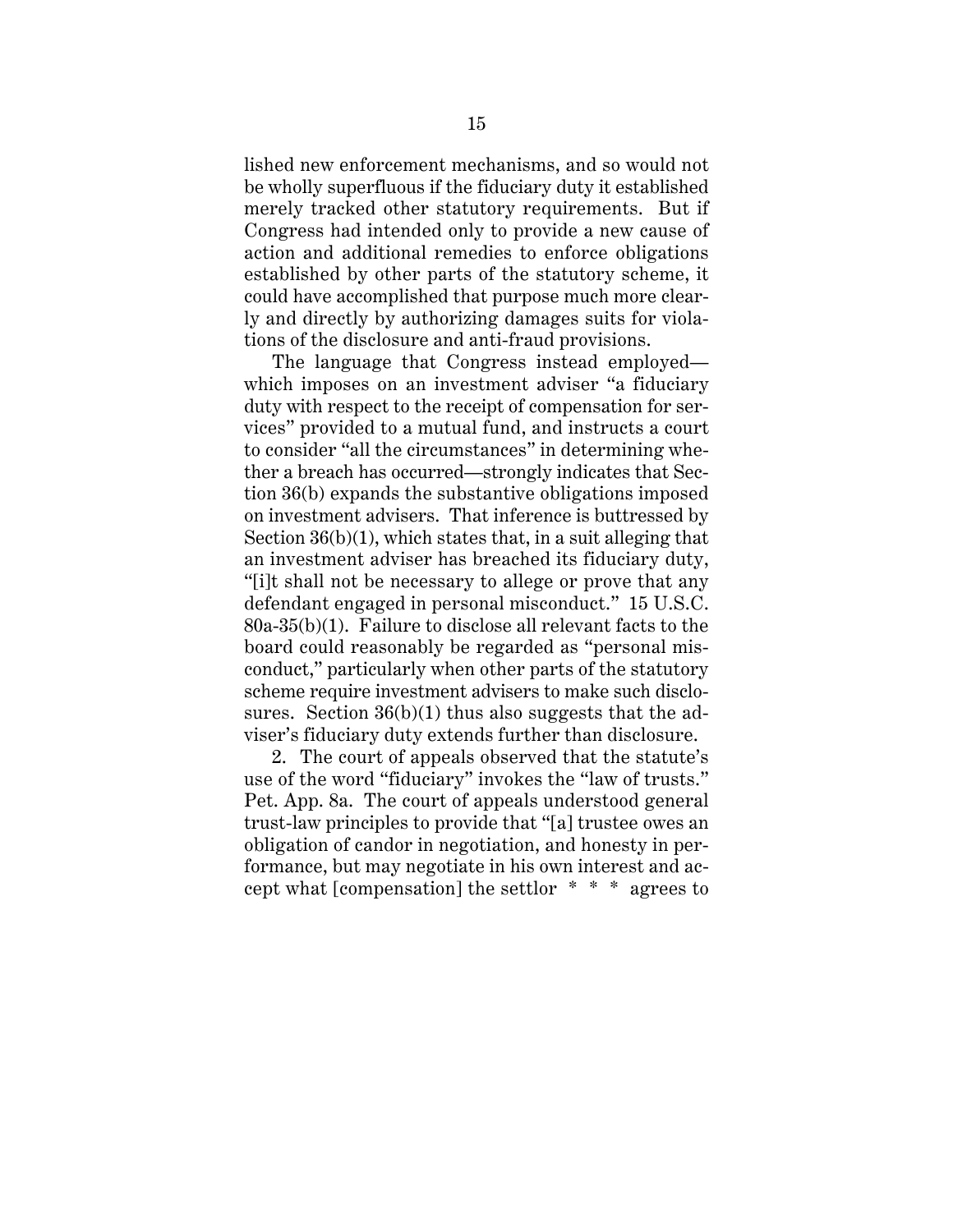lished new enforcement mechanisms, and so would not be wholly superfluous if the fiduciary duty it established merely tracked other statutory requirements. But if Congress had intended only to provide a new cause of action and additional remedies to enforce obligations established by other parts of the statutory scheme, it could have accomplished that purpose much more clearly and directly by authorizing damages suits for violations of the disclosure and anti-fraud provisions.

The language that Congress instead employed which imposes on an investment adviser "a fiduciary duty with respect to the receipt of compensation for services" provided to a mutual fund, and instructs a court to consider "all the circumstances" in determining whether a breach has occurred—strongly indicates that Section 36(b) expands the substantive obligations imposed on investment advisers. That inference is buttressed by Section  $36(b)(1)$ , which states that, in a suit alleging that an investment adviser has breached its fiduciary duty, "[i]t shall not be necessary to allege or prove that any defendant engaged in personal misconduct." 15 U.S.C. 80a-35(b)(1). Failure to disclose all relevant facts to the board could reasonably be regarded as "personal misconduct," particularly when other parts of the statutory scheme require investment advisers to make such disclosures. Section  $36(b)(1)$  thus also suggests that the adviser's fiduciary duty extends further than disclosure.

2. The court of appeals observed that the statute's use of the word "fiduciary" invokes the "law of trusts." Pet. App. 8a. The court of appeals understood general trust-law principles to provide that "[a] trustee owes an obligation of candor in negotiation, and honesty in performance, but may negotiate in his own interest and accept what [compensation] the settlor \* \* \* agrees to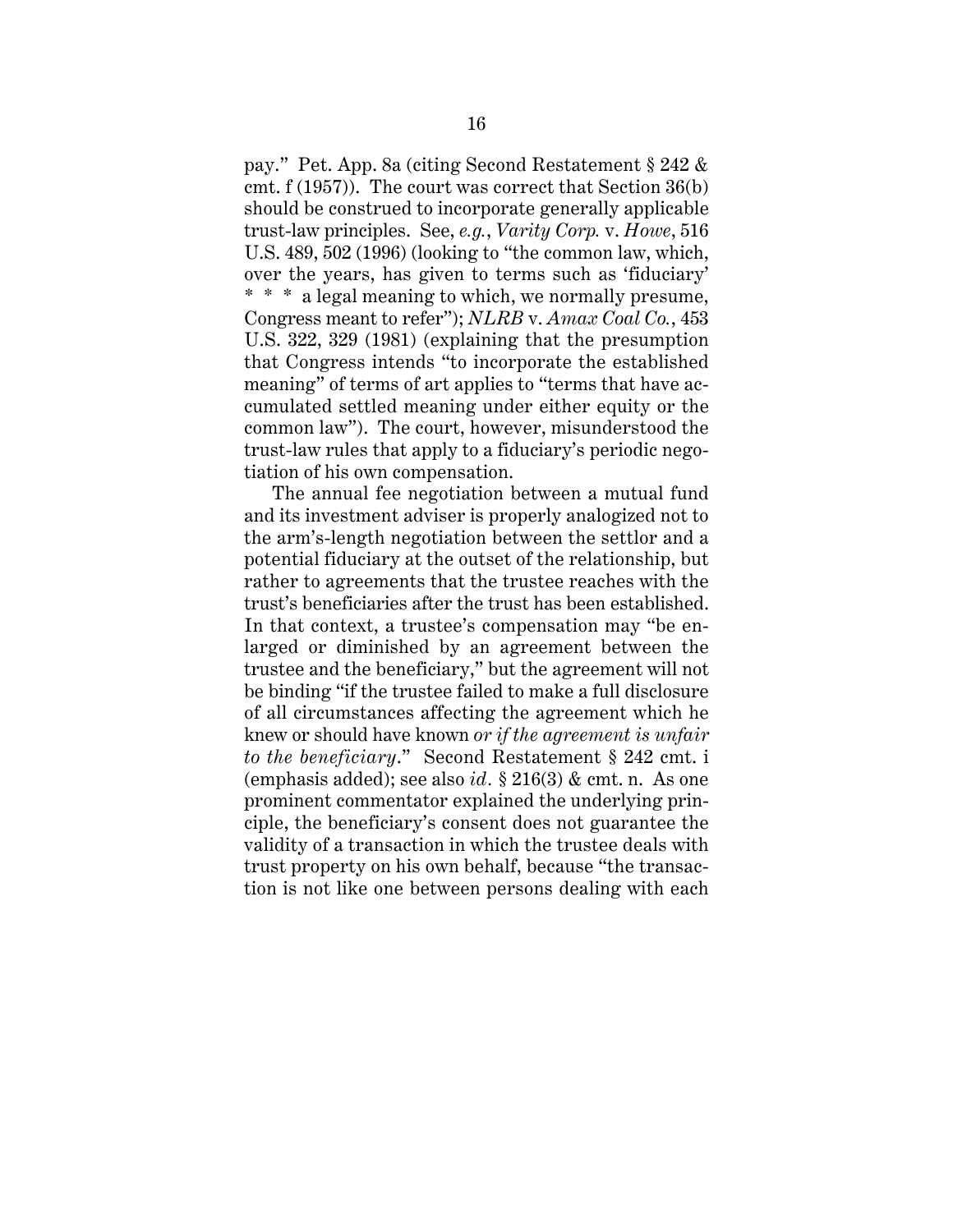pay." Pet. App. 8a (citing Second Restatement § 242 & cmt. f (1957)). The court was correct that Section 36(b) should be construed to incorporate generally applicable trust-law principles. See, *e.g.*, *Varity Corp.* v. *Howe*, 516 U.S. 489, 502 (1996) (looking to "the common law, which, over the years, has given to terms such as 'fiduciary' \* \* \* a legal meaning to which, we normally presume, Congress meant to refer"); *NLRB* v. *Amax Coal Co.*, 453 U.S. 322, 329 (1981) (explaining that the presumption that Congress intends "to incorporate the established meaning" of terms of art applies to "terms that have accumulated settled meaning under either equity or the common law"). The court, however, misunderstood the trust-law rules that apply to a fiduciary's periodic negotiation of his own compensation.

The annual fee negotiation between a mutual fund and its investment adviser is properly analogized not to the arm's-length negotiation between the settlor and a potential fiduciary at the outset of the relationship, but rather to agreements that the trustee reaches with the trust's beneficiaries after the trust has been established. In that context, a trustee's compensation may "be enlarged or diminished by an agreement between the trustee and the beneficiary," but the agreement will not be binding "if the trustee failed to make a full disclosure of all circumstances affecting the agreement which he knew or should have known *or if the agreement is unfair to the beneficiary*." Second Restatement § 242 cmt. i (emphasis added); see also *id.* § 216(3) & cmt. n. As one prominent commentator explained the underlying principle, the beneficiary's consent does not guarantee the validity of a transaction in which the trustee deals with trust property on his own behalf, because "the transaction is not like one between persons dealing with each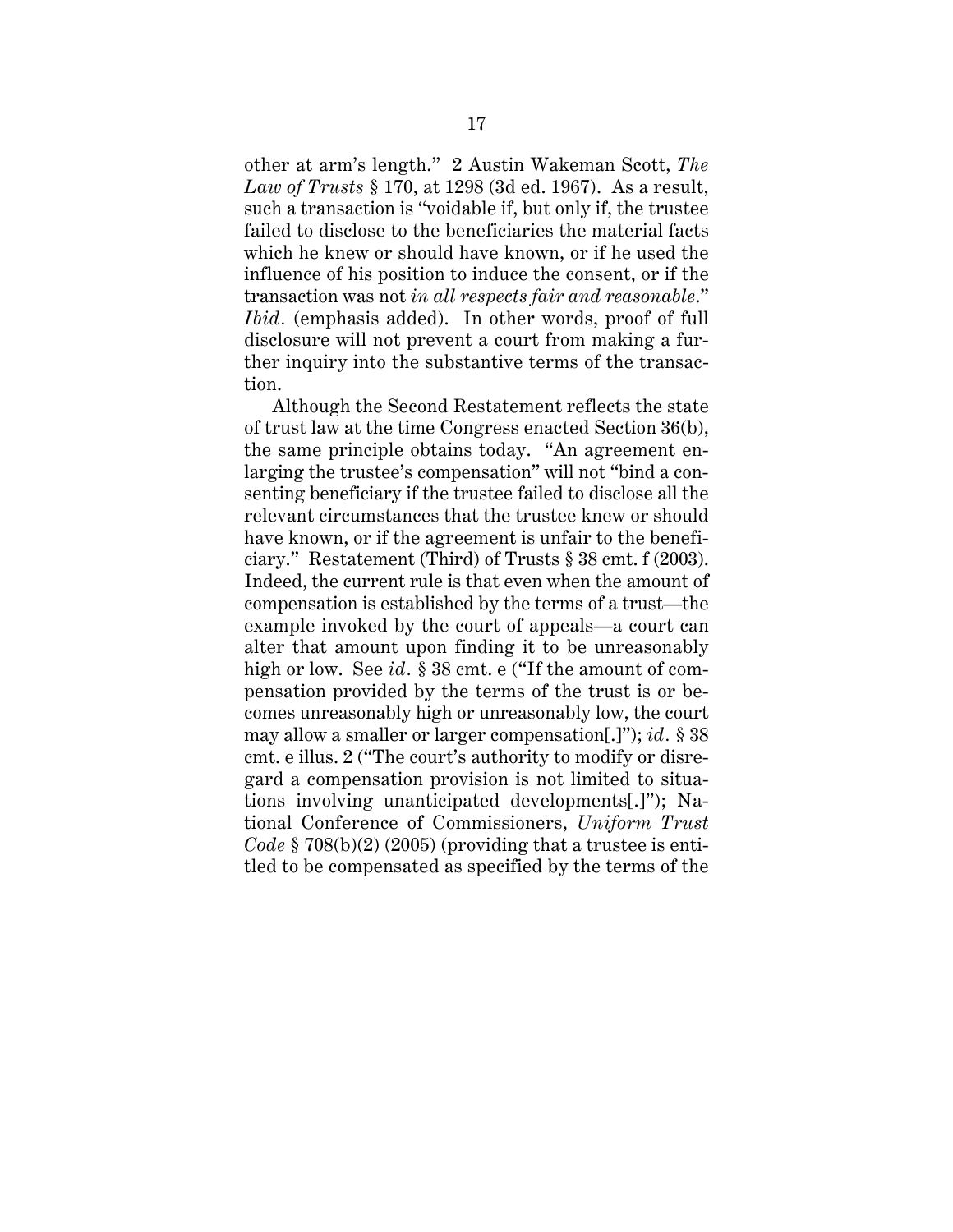other at arm's length." 2 Austin Wakeman Scott, *The Law of Trusts* § 170, at 1298 (3d ed. 1967). As a result, such a transaction is "voidable if, but only if, the trustee failed to disclose to the beneficiaries the material facts which he knew or should have known, or if he used the influence of his position to induce the consent, or if the transaction was not *in all respects fair and reasonable*." *Ibid.* (emphasis added). In other words, proof of full disclosure will not prevent a court from making a further inquiry into the substantive terms of the transaction.

Although the Second Restatement reflects the state of trust law at the time Congress enacted Section 36(b), the same principle obtains today. "An agreement enlarging the trustee's compensation" will not "bind a consenting beneficiary if the trustee failed to disclose all the relevant circumstances that the trustee knew or should have known, or if the agreement is unfair to the beneficiary." Restatement (Third) of Trusts § 38 cmt. f (2003). Indeed, the current rule is that even when the amount of compensation is established by the terms of a trust—the example invoked by the court of appeals—a court can alter that amount upon finding it to be unreasonably high or low. See *id.* § 38 cmt. e ("If the amount of compensation provided by the terms of the trust is or becomes unreasonably high or unreasonably low, the court may allow a smaller or larger compensation[.]"); *id.* § 38 cmt. e illus. 2 ("The court's authority to modify or disregard a compensation provision is not limited to situations involving unanticipated developments[.]"); National Conference of Commissioners, *Uniform Trust Code* § 708(b)(2) (2005) (providing that a trustee is entitled to be compensated as specified by the terms of the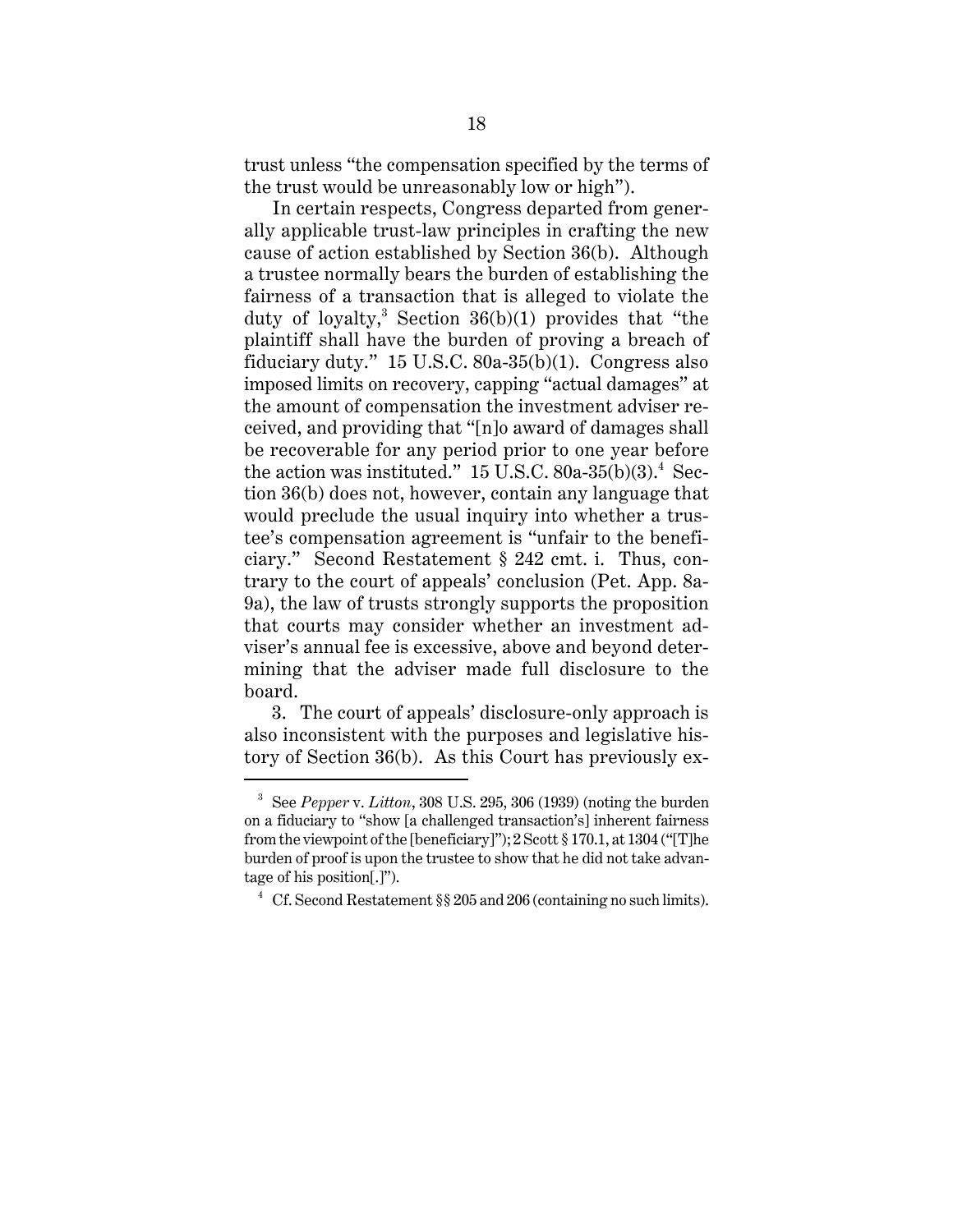trust unless "the compensation specified by the terms of the trust would be unreasonably low or high").

In certain respects, Congress departed from generally applicable trust-law principles in crafting the new cause of action established by Section 36(b). Although a trustee normally bears the burden of establishing the fairness of a transaction that is alleged to violate the duty of loyalty,<sup>3</sup> Section 36(b)(1) provides that "the plaintiff shall have the burden of proving a breach of fiduciary duty." 15 U.S.C. 80a-35(b)(1). Congress also imposed limits on recovery, capping "actual damages" at the amount of compensation the investment adviser received, and providing that "[n]o award of damages shall be recoverable for any period prior to one year before the action was instituted."  $15$  U.S.C.  $80a-35(b)(3)$ .<sup>4</sup> Section 36(b) does not, however, contain any language that would preclude the usual inquiry into whether a trustee's compensation agreement is "unfair to the beneficiary." Second Restatement § 242 cmt. i. Thus, contrary to the court of appeals' conclusion (Pet. App. 8a-9a), the law of trusts strongly supports the proposition that courts may consider whether an investment adviser's annual fee is excessive, above and beyond determining that the adviser made full disclosure to the board.

3. The court of appeals' disclosure-only approach is also inconsistent with the purposes and legislative history of Section 36(b). As this Court has previously ex-

<sup>3</sup> See *Pepper* v. *Litton*, 308 U.S. 295, 306 (1939) (noting the burden on a fiduciary to "show [a challenged transaction's] inherent fairness from the viewpoint of the [beneficiary]"); 2 Scott § 170.1, at 1304 ("[T]he burden of proof is upon the trustee to show that he did not take advantage of his position[.]").

<sup>&</sup>lt;sup>4</sup> Cf. Second Restatement §§ 205 and 206 (containing no such limits).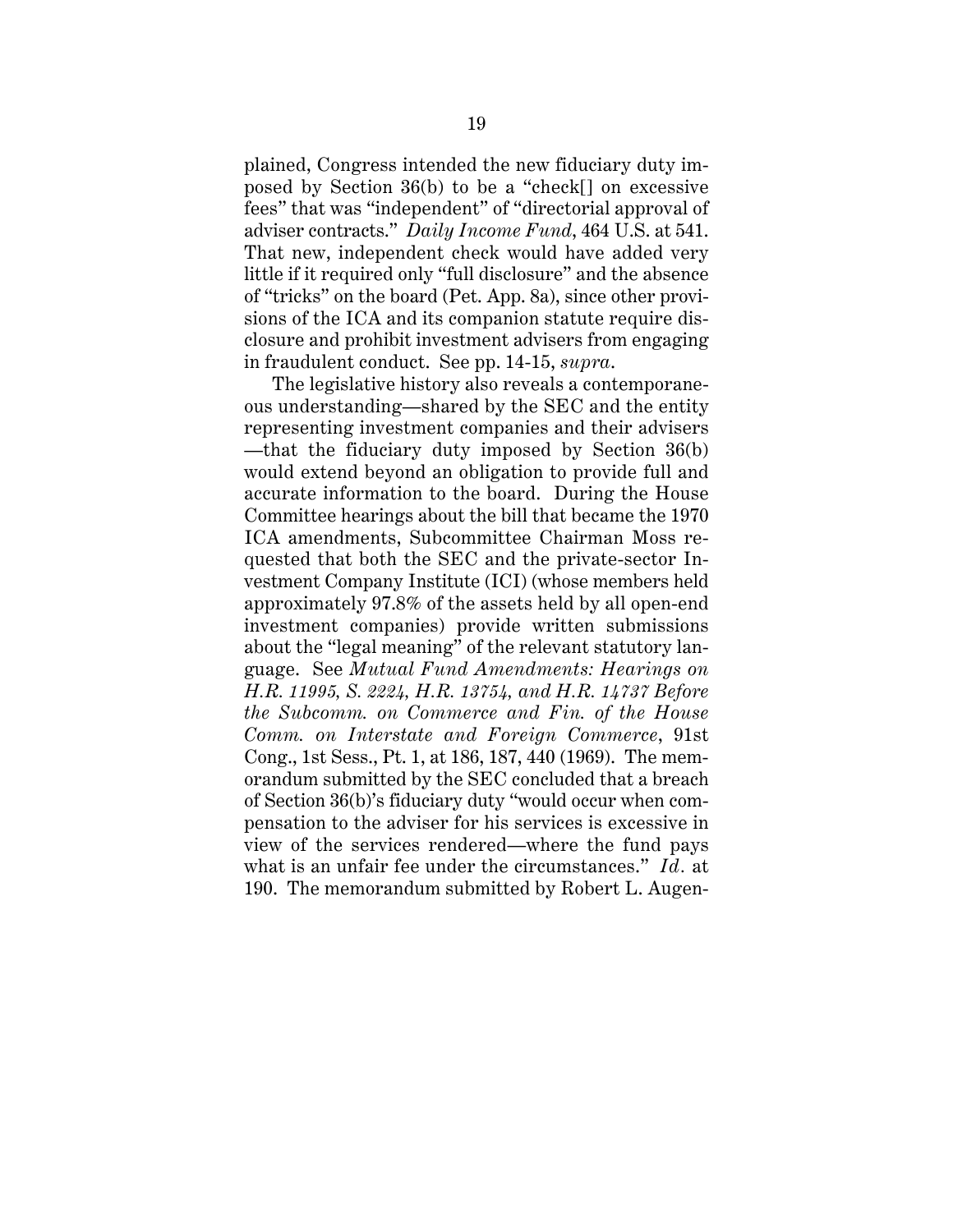plained, Congress intended the new fiduciary duty imposed by Section 36(b) to be a "check[] on excessive fees" that was "independent" of "directorial approval of adviser contracts." *Daily Income Fund*, 464 U.S. at 541. That new, independent check would have added very little if it required only "full disclosure" and the absence of "tricks" on the board (Pet. App. 8a), since other provisions of the ICA and its companion statute require disclosure and prohibit investment advisers from engaging in fraudulent conduct. See pp. 14-15, *supra*.

The legislative history also reveals a contemporaneous understanding—shared by the SEC and the entity representing investment companies and their advisers —that the fiduciary duty imposed by Section 36(b) would extend beyond an obligation to provide full and accurate information to the board. During the House Committee hearings about the bill that became the 1970 ICA amendments, Subcommittee Chairman Moss requested that both the SEC and the private-sector Investment Company Institute (ICI) (whose members held approximately 97.8% of the assets held by all open-end investment companies) provide written submissions about the "legal meaning" of the relevant statutory language. See *Mutual Fund Amendments: Hearings on H.R. 11995, S. 2224, H.R. 13754, and H.R. 14737 Before the Subcomm. on Commerce and Fin. of the House Comm. on Interstate and Foreign Commerce*, 91st Cong., 1st Sess., Pt. 1, at 186, 187, 440 (1969). The memorandum submitted by the SEC concluded that a breach of Section 36(b)'s fiduciary duty "would occur when compensation to the adviser for his services is excessive in view of the services rendered—where the fund pays what is an unfair fee under the circumstances." *Id.* at 190. The memorandum submitted by Robert L. Augen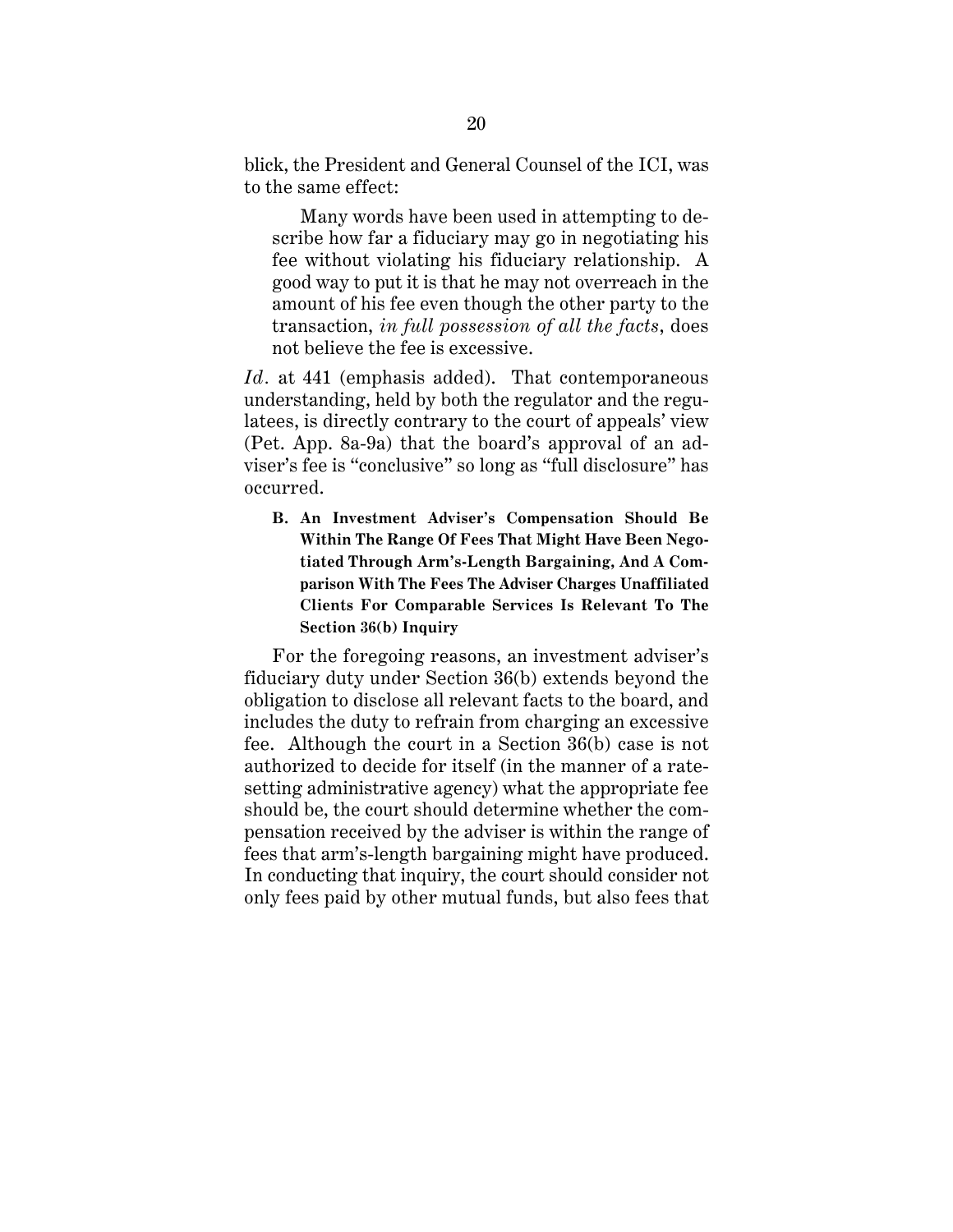blick, the President and General Counsel of the ICI, was to the same effect:

Many words have been used in attempting to describe how far a fiduciary may go in negotiating his fee without violating his fiduciary relationship. A good way to put it is that he may not overreach in the amount of his fee even though the other party to the transaction, *in full possession of all the facts*, does not believe the fee is excessive.

*Id.* at 441 (emphasis added). That contemporaneous understanding, held by both the regulator and the regulatees, is directly contrary to the court of appeals' view (Pet. App. 8a-9a) that the board's approval of an adviser's fee is "conclusive" so long as "full disclosure" has occurred.

**B. An Investment Adviser's Compensation Should Be Within The Range Of Fees That Might Have Been Negotiated Through Arm's-Length Bargaining, And A Comparison With The Fees The Adviser Charges Unaffiliated Clients For Comparable Services Is Relevant To The Section 36(b) Inquiry**

For the foregoing reasons, an investment adviser's fiduciary duty under Section 36(b) extends beyond the obligation to disclose all relevant facts to the board, and includes the duty to refrain from charging an excessive fee. Although the court in a Section 36(b) case is not authorized to decide for itself (in the manner of a ratesetting administrative agency) what the appropriate fee should be, the court should determine whether the compensation received by the adviser is within the range of fees that arm's-length bargaining might have produced. In conducting that inquiry, the court should consider not only fees paid by other mutual funds, but also fees that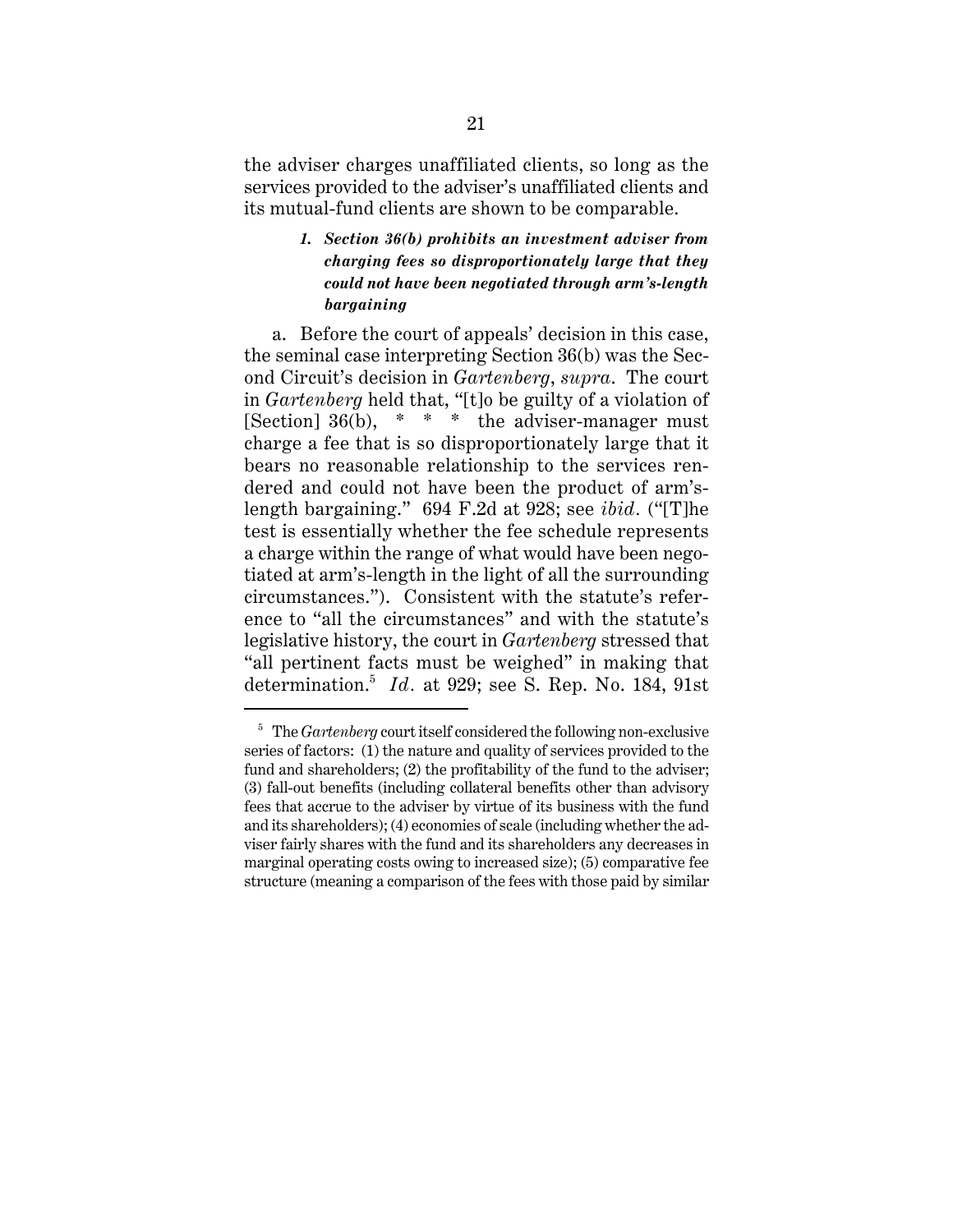the adviser charges unaffiliated clients, so long as the services provided to the adviser's unaffiliated clients and its mutual-fund clients are shown to be comparable.

# *1. Section 36(b) prohibits an investment adviser from charging fees so disproportionately large that they could not have been negotiated through arm's-length bargaining*

a. Before the court of appeals' decision in this case, the seminal case interpreting Section 36(b) was the Second Circuit's decision in *Gartenberg*, *supra*. The court in *Gartenberg* held that, "[t]o be guilty of a violation of [Section]  $36(b)$ , \* \* \* the adviser-manager must charge a fee that is so disproportionately large that it bears no reasonable relationship to the services rendered and could not have been the product of arm'slength bargaining." 694 F.2d at 928; see *ibid.* ("[T]he test is essentially whether the fee schedule represents a charge within the range of what would have been negotiated at arm's-length in the light of all the surrounding circumstances."). Consistent with the statute's reference to "all the circumstances" and with the statute's legislative history, the court in *Gartenberg* stressed that "all pertinent facts must be weighed" in making that determination.<sup>5</sup> *Id.* at 929; see S. Rep. No. 184, 91st

<sup>5</sup> The *Gartenberg* court itself considered the following non-exclusive series of factors: (1) the nature and quality of services provided to the fund and shareholders; (2) the profitability of the fund to the adviser; (3) fall-out benefits (including collateral benefits other than advisory fees that accrue to the adviser by virtue of its business with the fund and its shareholders); (4) economies of scale (including whether the adviser fairly shares with the fund and its shareholders any decreases in marginal operating costs owing to increased size); (5) comparative fee structure (meaning a comparison of the fees with those paid by similar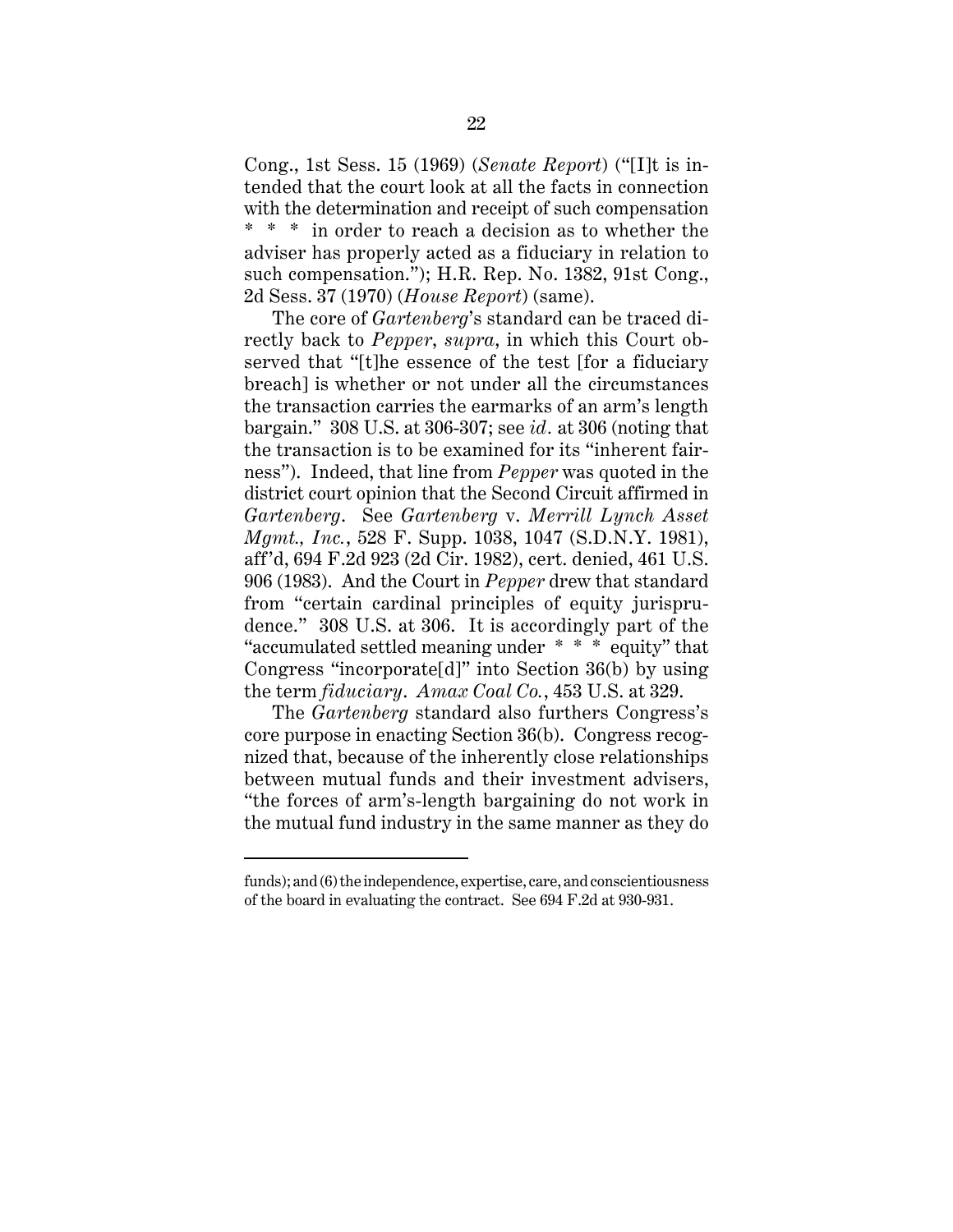Cong., 1st Sess. 15 (1969) (*Senate Report*) ("[I]t is intended that the court look at all the facts in connection with the determination and receipt of such compensation \* \* \* in order to reach a decision as to whether the adviser has properly acted as a fiduciary in relation to such compensation."); H.R. Rep. No. 1382, 91st Cong., 2d Sess. 37 (1970) (*House Report*) (same).

The core of *Gartenberg*'s standard can be traced directly back to *Pepper*, *supra*, in which this Court observed that "[t]he essence of the test [for a fiduciary breach] is whether or not under all the circumstances the transaction carries the earmarks of an arm's length bargain." 308 U.S. at 306-307; see *id.* at 306 (noting that the transaction is to be examined for its "inherent fairness"). Indeed, that line from *Pepper* was quoted in the district court opinion that the Second Circuit affirmed in *Gartenberg*. See *Gartenberg* v. *Merrill Lynch Asset Mgmt., Inc.*, 528 F. Supp. 1038, 1047 (S.D.N.Y. 1981), aff'd, 694 F.2d 923 (2d Cir. 1982), cert. denied, 461 U.S. 906 (1983). And the Court in *Pepper* drew that standard from "certain cardinal principles of equity jurisprudence." 308 U.S. at 306. It is accordingly part of the "accumulated settled meaning under \* \* \* equity" that Congress "incorporate[d]" into Section 36(b) by using the term *fiduciary*. *Amax Coal Co.*, 453 U.S. at 329.

The *Gartenberg* standard also furthers Congress's core purpose in enacting Section 36(b). Congress recognized that, because of the inherently close relationships between mutual funds and their investment advisers, "the forces of arm's-length bargaining do not work in the mutual fund industry in the same manner as they do

funds); and (6) the independence, expertise, care, and conscientiousness of the board in evaluating the contract. See 694 F.2d at 930-931.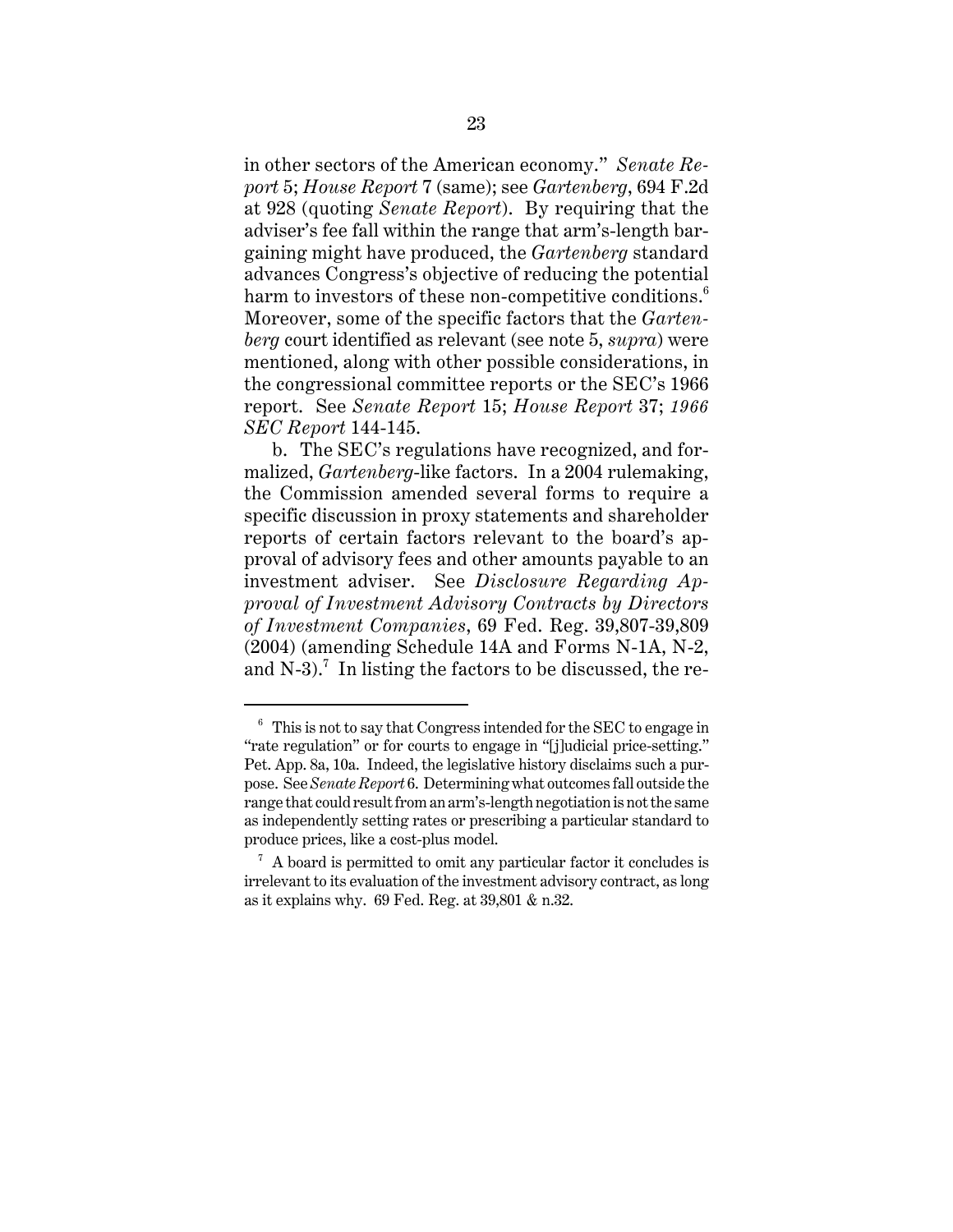in other sectors of the American economy." *Senate Report* 5; *House Report* 7 (same); see *Gartenberg*, 694 F.2d at 928 (quoting *Senate Report*). By requiring that the adviser's fee fall within the range that arm's-length bargaining might have produced, the *Gartenberg* standard advances Congress's objective of reducing the potential harm to investors of these non-competitive conditions.<sup>6</sup> Moreover, some of the specific factors that the *Gartenberg* court identified as relevant (see note 5, *supra*) were mentioned, along with other possible considerations, in the congressional committee reports or the SEC's 1966 report. See *Senate Report* 15; *House Report* 37; *1966 SEC Report* 144-145.

b. The SEC's regulations have recognized, and formalized, *Gartenberg*-like factors. In a 2004 rulemaking, the Commission amended several forms to require a specific discussion in proxy statements and shareholder reports of certain factors relevant to the board's approval of advisory fees and other amounts payable to an investment adviser. See *Disclosure Regarding Approval of Investment Advisory Contracts by Directors of Investment Companies*, 69 Fed. Reg. 39,807-39,809 (2004) (amending Schedule 14A and Forms N-1A, N-2, and N-3).<sup>7</sup> In listing the factors to be discussed, the re-

 $6$  This is not to say that Congress intended for the SEC to engage in "rate regulation" or for courts to engage in "[j]udicial price-setting." Pet. App. 8a, 10a. Indeed, the legislative history disclaims such a purpose. See *Senate Report* 6. Determining what outcomes fall outside the range that could result from an arm's-length negotiation is not the same as independently setting rates or prescribing a particular standard to produce prices, like a cost-plus model.

 $\alpha$  A board is permitted to omit any particular factor it concludes is irrelevant to its evaluation of the investment advisory contract, as long as it explains why. 69 Fed. Reg. at 39,801 & n.32.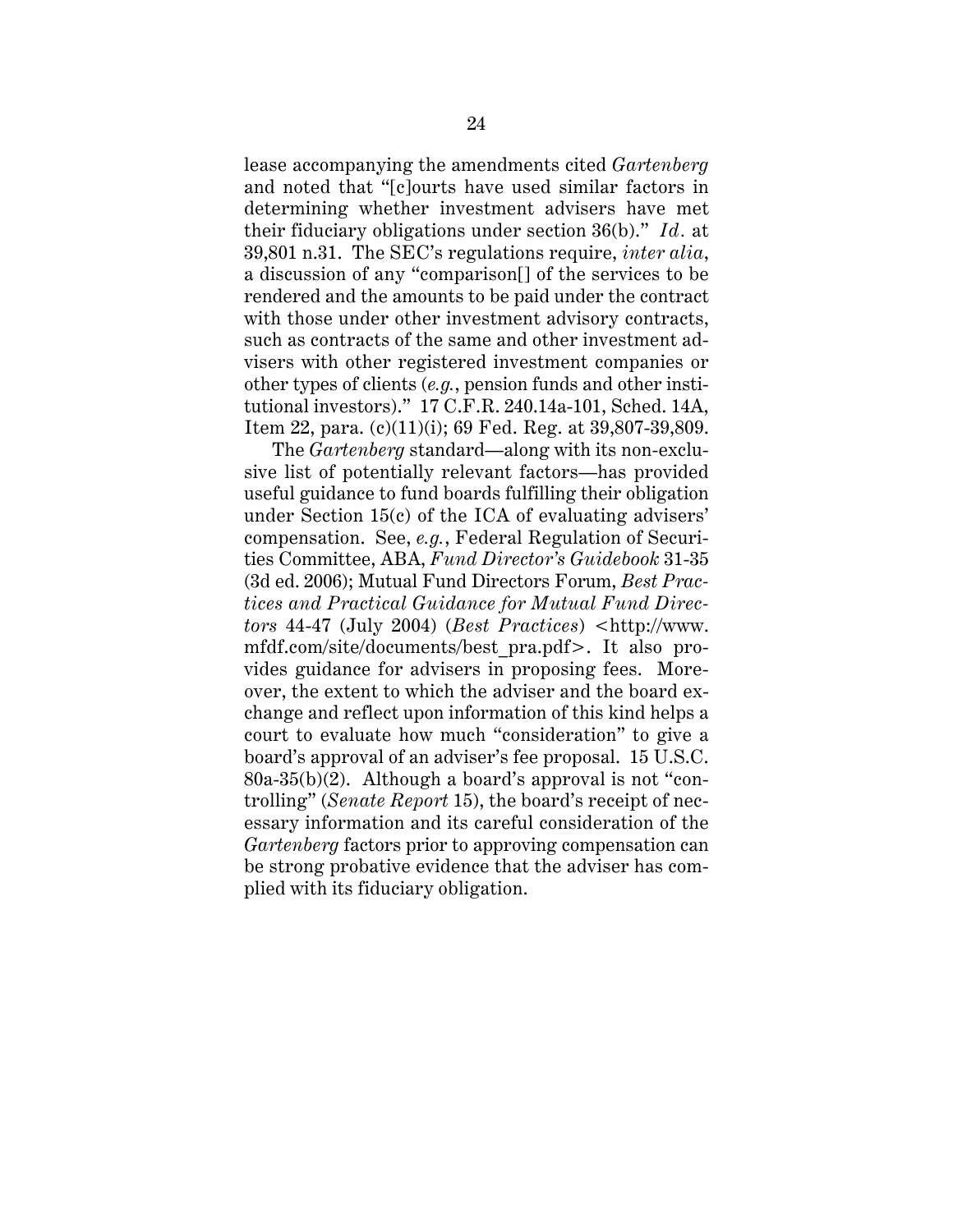lease accompanying the amendments cited *Gartenberg* and noted that "[c]ourts have used similar factors in determining whether investment advisers have met their fiduciary obligations under section 36(b)." *Id.* at 39,801 n.31. The SEC's regulations require, *inter alia*, a discussion of any "comparison[] of the services to be rendered and the amounts to be paid under the contract with those under other investment advisory contracts, such as contracts of the same and other investment advisers with other registered investment companies or other types of clients (*e.g.*, pension funds and other institutional investors)." 17 C.F.R. 240.14a-101, Sched. 14A, Item 22, para. (c)(11)(i); 69 Fed. Reg. at 39,807-39,809.

The *Gartenberg* standard—along with its non-exclusive list of potentially relevant factors—has provided useful guidance to fund boards fulfilling their obligation under Section 15(c) of the ICA of evaluating advisers' compensation. See, *e.g.*, Federal Regulation of Securities Committee, ABA, *Fund Director's Guidebook* 31-35 (3d ed. 2006); Mutual Fund Directors Forum, *Best Practices and Practical Guidance for Mutual Fund Directors* 44-47 (July 2004) (*Best Practices*) <http://www. mfdf.com/site/documents/best\_pra.pdf>. It also provides guidance for advisers in proposing fees. Moreover, the extent to which the adviser and the board exchange and reflect upon information of this kind helps a court to evaluate how much "consideration" to give a board's approval of an adviser's fee proposal. 15 U.S.C.  $80a-35(b)(2)$ . Although a board's approval is not "controlling" (*Senate Report* 15), the board's receipt of necessary information and its careful consideration of the *Gartenberg* factors prior to approving compensation can be strong probative evidence that the adviser has complied with its fiduciary obligation.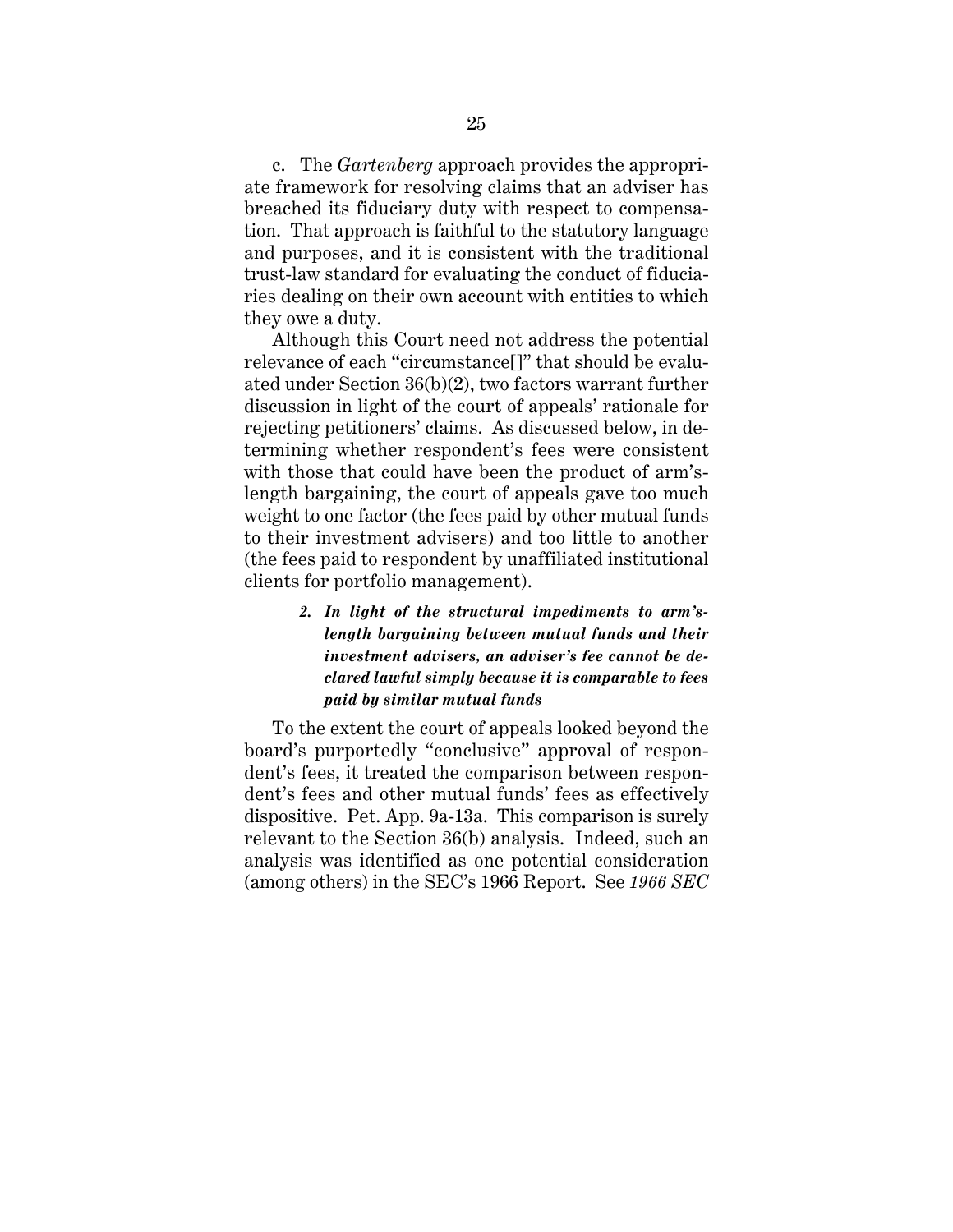c. The *Gartenberg* approach provides the appropriate framework for resolving claims that an adviser has breached its fiduciary duty with respect to compensation. That approach is faithful to the statutory language and purposes, and it is consistent with the traditional trust-law standard for evaluating the conduct of fiduciaries dealing on their own account with entities to which they owe a duty.

Although this Court need not address the potential relevance of each "circumstance[]" that should be evaluated under Section 36(b)(2), two factors warrant further discussion in light of the court of appeals' rationale for rejecting petitioners' claims. As discussed below, in determining whether respondent's fees were consistent with those that could have been the product of arm'slength bargaining, the court of appeals gave too much weight to one factor (the fees paid by other mutual funds to their investment advisers) and too little to another (the fees paid to respondent by unaffiliated institutional clients for portfolio management).

> *2. In light of the structural impediments to arm'slength bargaining between mutual funds and their investment advisers, an adviser's fee cannot be declared lawful simply because it is comparable to fees paid by similar mutual funds*

To the extent the court of appeals looked beyond the board's purportedly "conclusive" approval of respondent's fees, it treated the comparison between respondent's fees and other mutual funds' fees as effectively dispositive. Pet. App. 9a-13a. This comparison is surely relevant to the Section 36(b) analysis. Indeed, such an analysis was identified as one potential consideration (among others) in the SEC's 1966 Report. See *1966 SEC*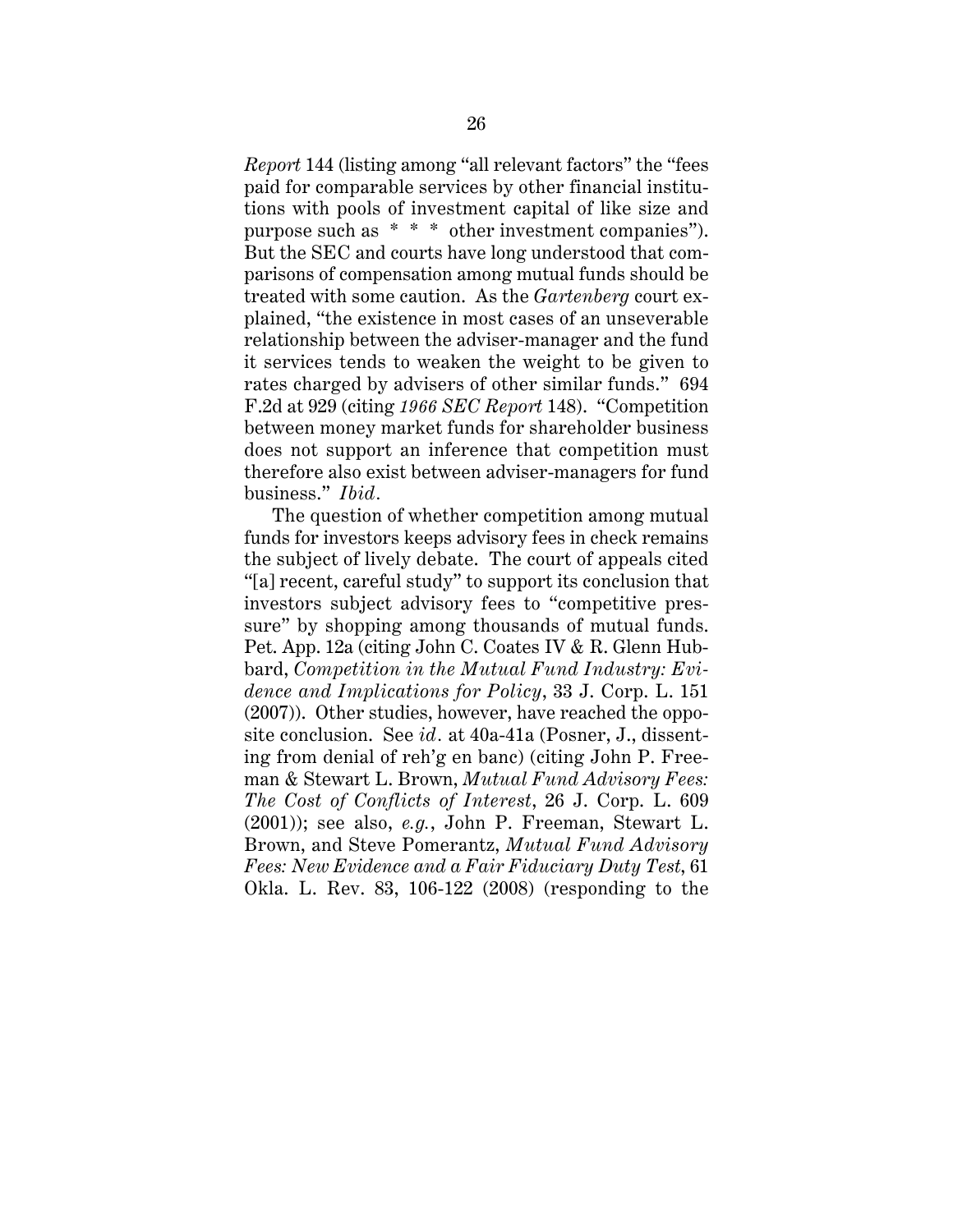*Report* 144 (listing among "all relevant factors" the "fees paid for comparable services by other financial institutions with pools of investment capital of like size and purpose such as \* \* \* other investment companies"). But the SEC and courts have long understood that comparisons of compensation among mutual funds should be treated with some caution. As the *Gartenberg* court explained, "the existence in most cases of an unseverable relationship between the adviser-manager and the fund it services tends to weaken the weight to be given to rates charged by advisers of other similar funds." 694 F.2d at 929 (citing *1966 SEC Report* 148). "Competition between money market funds for shareholder business does not support an inference that competition must therefore also exist between adviser-managers for fund business." *Ibid.*

The question of whether competition among mutual funds for investors keeps advisory fees in check remains the subject of lively debate. The court of appeals cited "[a] recent, careful study" to support its conclusion that investors subject advisory fees to "competitive pressure" by shopping among thousands of mutual funds. Pet. App. 12a (citing John C. Coates IV & R. Glenn Hubbard, *Competition in the Mutual Fund Industry: Evidence and Implications for Policy*, 33 J. Corp. L. 151 (2007)). Other studies, however, have reached the opposite conclusion. See *id.* at 40a-41a (Posner, J., dissenting from denial of reh'g en banc) (citing John P. Freeman & Stewart L. Brown, *Mutual Fund Advisory Fees: The Cost of Conflicts of Interest*, 26 J. Corp. L. 609 (2001)); see also, *e.g.*, John P. Freeman, Stewart L. Brown, and Steve Pomerantz, *Mutual Fund Advisory Fees: New Evidence and a Fair Fiduciary Duty Test*, 61 Okla. L. Rev. 83, 106-122 (2008) (responding to the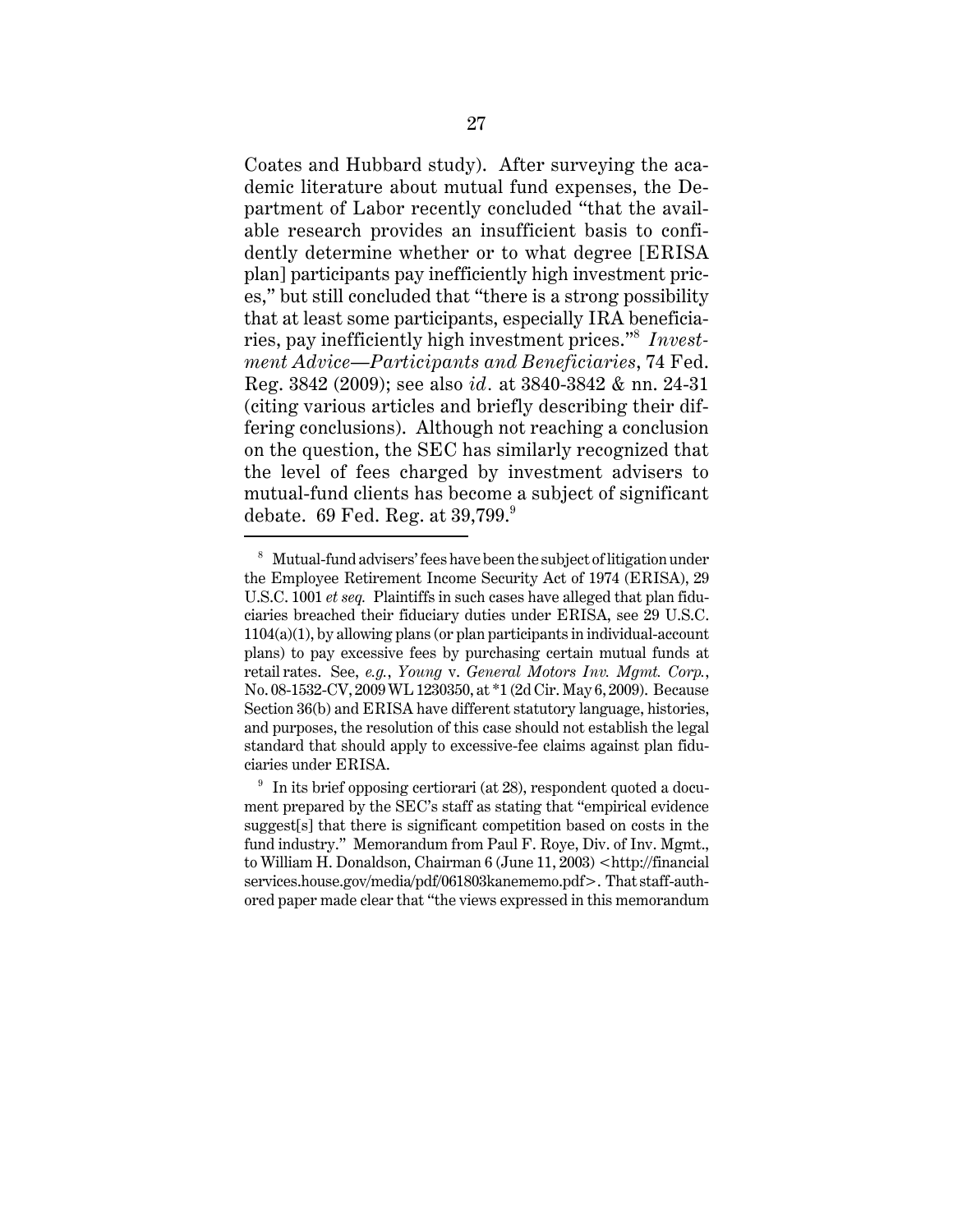Coates and Hubbard study). After surveying the academic literature about mutual fund expenses, the Department of Labor recently concluded "that the available research provides an insufficient basis to confidently determine whether or to what degree [ERISA plan] participants pay inefficiently high investment prices," but still concluded that "there is a strong possibility that at least some participants, especially IRA beneficiaries, pay inefficiently high investment prices."<sup>8</sup> *Investment Advice—Participants and Beneficiaries*, 74 Fed. Reg. 3842 (2009); see also *id.* at 3840-3842 & nn. 24-31 (citing various articles and briefly describing their differing conclusions). Although not reaching a conclusion on the question, the SEC has similarly recognized that the level of fees charged by investment advisers to mutual-fund clients has become a subject of significant debate. 69 Fed. Reg. at  $39,799$ .

<sup>8</sup> Mutual-fund advisers' fees have been the subject of litigation under the Employee Retirement Income Security Act of 1974 (ERISA), 29 U.S.C. 1001 *et seq.* Plaintiffs in such cases have alleged that plan fiduciaries breached their fiduciary duties under ERISA, see 29 U.S.C. 1104(a)(1), by allowing plans (or plan participants in individual-account plans) to pay excessive fees by purchasing certain mutual funds at retail rates. See, *e.g.*, *Young* v. *General Motors Inv. Mgmt. Corp.*, No. 08-1532-CV, 2009 WL 1230350, at \*1 (2d Cir. May 6, 2009). Because Section 36(b) and ERISA have different statutory language, histories, and purposes, the resolution of this case should not establish the legal standard that should apply to excessive-fee claims against plan fiduciaries under ERISA.

<sup>&</sup>lt;sup>9</sup> In its brief opposing certiorari (at 28), respondent quoted a document prepared by the SEC's staff as stating that "empirical evidence suggest[s] that there is significant competition based on costs in the fund industry." Memorandum from Paul F. Roye, Div. of Inv. Mgmt., to William H. Donaldson, Chairman 6 (June 11, 2003) <http://financial services.house.gov/media/pdf/061803kanememo.pdf>. That staff-authored paper made clear that "the views expressed in this memorandum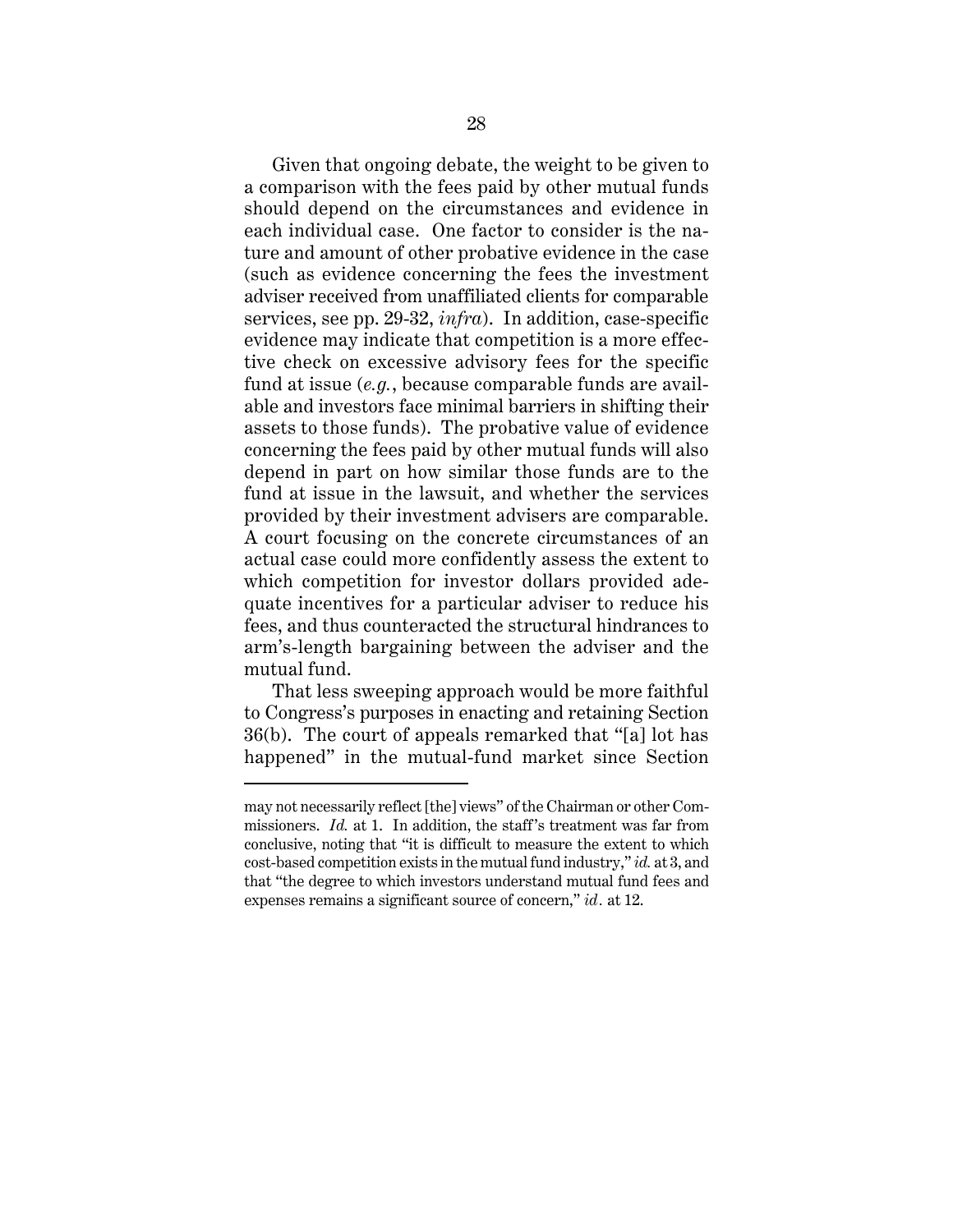Given that ongoing debate, the weight to be given to a comparison with the fees paid by other mutual funds should depend on the circumstances and evidence in each individual case. One factor to consider is the nature and amount of other probative evidence in the case (such as evidence concerning the fees the investment adviser received from unaffiliated clients for comparable services, see pp. 29-32, *infra*). In addition, case-specific evidence may indicate that competition is a more effective check on excessive advisory fees for the specific fund at issue (*e.g.*, because comparable funds are available and investors face minimal barriers in shifting their assets to those funds). The probative value of evidence concerning the fees paid by other mutual funds will also depend in part on how similar those funds are to the fund at issue in the lawsuit, and whether the services provided by their investment advisers are comparable. A court focusing on the concrete circumstances of an actual case could more confidently assess the extent to which competition for investor dollars provided adequate incentives for a particular adviser to reduce his fees, and thus counteracted the structural hindrances to arm's-length bargaining between the adviser and the mutual fund.

That less sweeping approach would be more faithful to Congress's purposes in enacting and retaining Section 36(b). The court of appeals remarked that "[a] lot has happened" in the mutual-fund market since Section

may not necessarily reflect [the] views" of the Chairman or other Commissioners. *Id.* at 1. In addition, the staff's treatment was far from conclusive, noting that "it is difficult to measure the extent to which cost-based competition exists in the mutual fund industry," *id.* at 3, and that "the degree to which investors understand mutual fund fees and expenses remains a significant source of concern," *id.* at 12.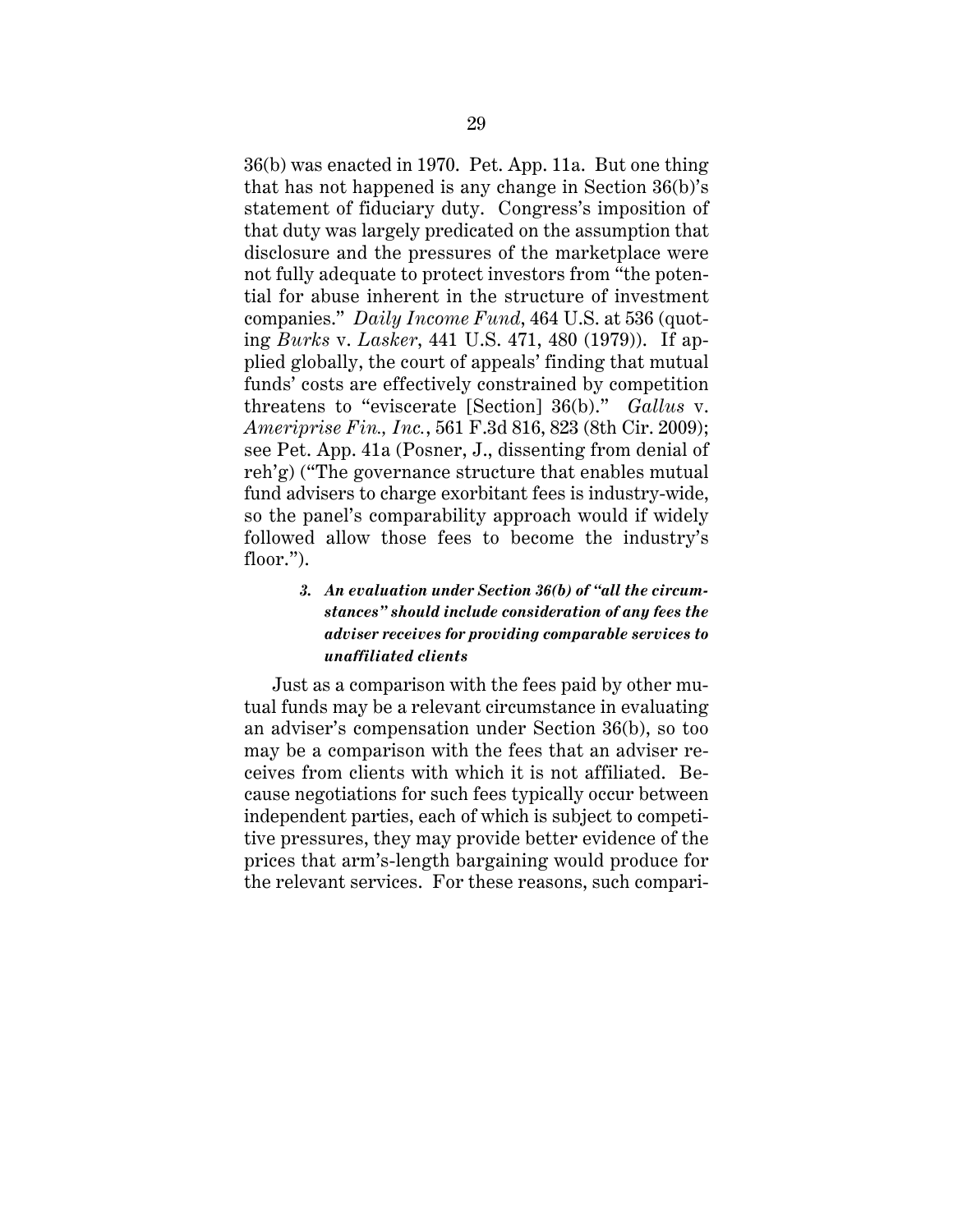36(b) was enacted in 1970. Pet. App. 11a. But one thing that has not happened is any change in Section 36(b)'s statement of fiduciary duty. Congress's imposition of that duty was largely predicated on the assumption that disclosure and the pressures of the marketplace were not fully adequate to protect investors from "the potential for abuse inherent in the structure of investment companies." *Daily Income Fund*, 464 U.S. at 536 (quoting *Burks* v. *Lasker*, 441 U.S. 471, 480 (1979)). If applied globally, the court of appeals' finding that mutual funds' costs are effectively constrained by competition threatens to "eviscerate [Section] 36(b)." *Gallus* v. *Ameriprise Fin., Inc.*, 561 F.3d 816, 823 (8th Cir. 2009); see Pet. App. 41a (Posner, J., dissenting from denial of reh'g) ("The governance structure that enables mutual fund advisers to charge exorbitant fees is industry-wide, so the panel's comparability approach would if widely followed allow those fees to become the industry's floor.").

# *3. An evaluation under Section 36(b) of "all the circumstances" should include consideration of any fees the adviser receives for providing comparable services to unaffiliated clients*

Just as a comparison with the fees paid by other mutual funds may be a relevant circumstance in evaluating an adviser's compensation under Section 36(b), so too may be a comparison with the fees that an adviser receives from clients with which it is not affiliated. Because negotiations for such fees typically occur between independent parties, each of which is subject to competitive pressures, they may provide better evidence of the prices that arm's-length bargaining would produce for the relevant services. For these reasons, such compari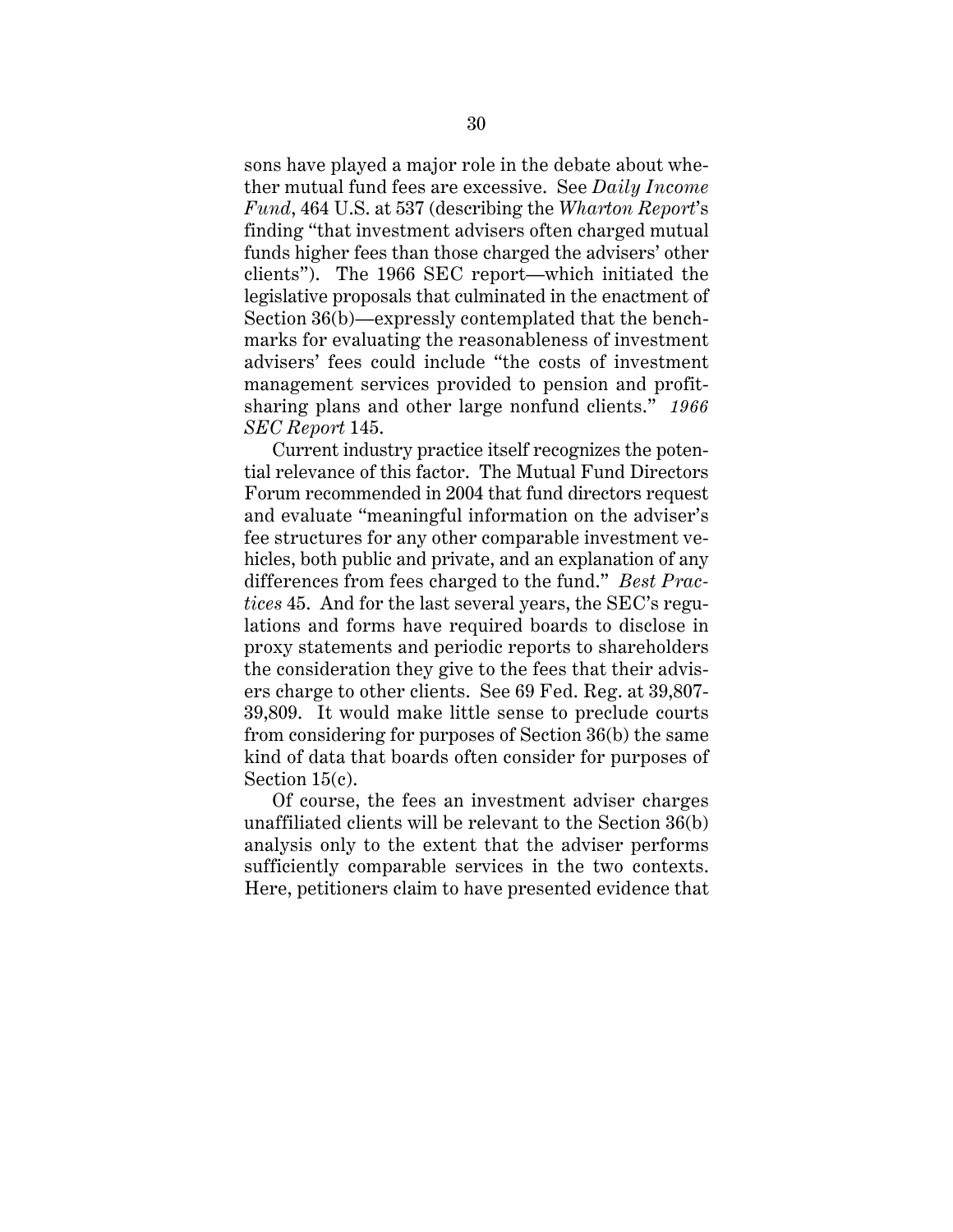sons have played a major role in the debate about whether mutual fund fees are excessive. See *Daily Income Fund*, 464 U.S. at 537 (describing the *Wharton Report*'s finding "that investment advisers often charged mutual funds higher fees than those charged the advisers' other clients"). The 1966 SEC report—which initiated the legislative proposals that culminated in the enactment of Section 36(b)—expressly contemplated that the benchmarks for evaluating the reasonableness of investment advisers' fees could include "the costs of investment management services provided to pension and profitsharing plans and other large nonfund clients." *1966 SEC Report* 145.

Current industry practice itself recognizes the potential relevance of this factor. The Mutual Fund Directors Forum recommended in 2004 that fund directors request and evaluate "meaningful information on the adviser's fee structures for any other comparable investment vehicles, both public and private, and an explanation of any differences from fees charged to the fund." *Best Practices* 45. And for the last several years, the SEC's regulations and forms have required boards to disclose in proxy statements and periodic reports to shareholders the consideration they give to the fees that their advisers charge to other clients. See 69 Fed. Reg. at 39,807- 39,809. It would make little sense to preclude courts from considering for purposes of Section 36(b) the same kind of data that boards often consider for purposes of Section 15(c).

Of course, the fees an investment adviser charges unaffiliated clients will be relevant to the Section 36(b) analysis only to the extent that the adviser performs sufficiently comparable services in the two contexts. Here, petitioners claim to have presented evidence that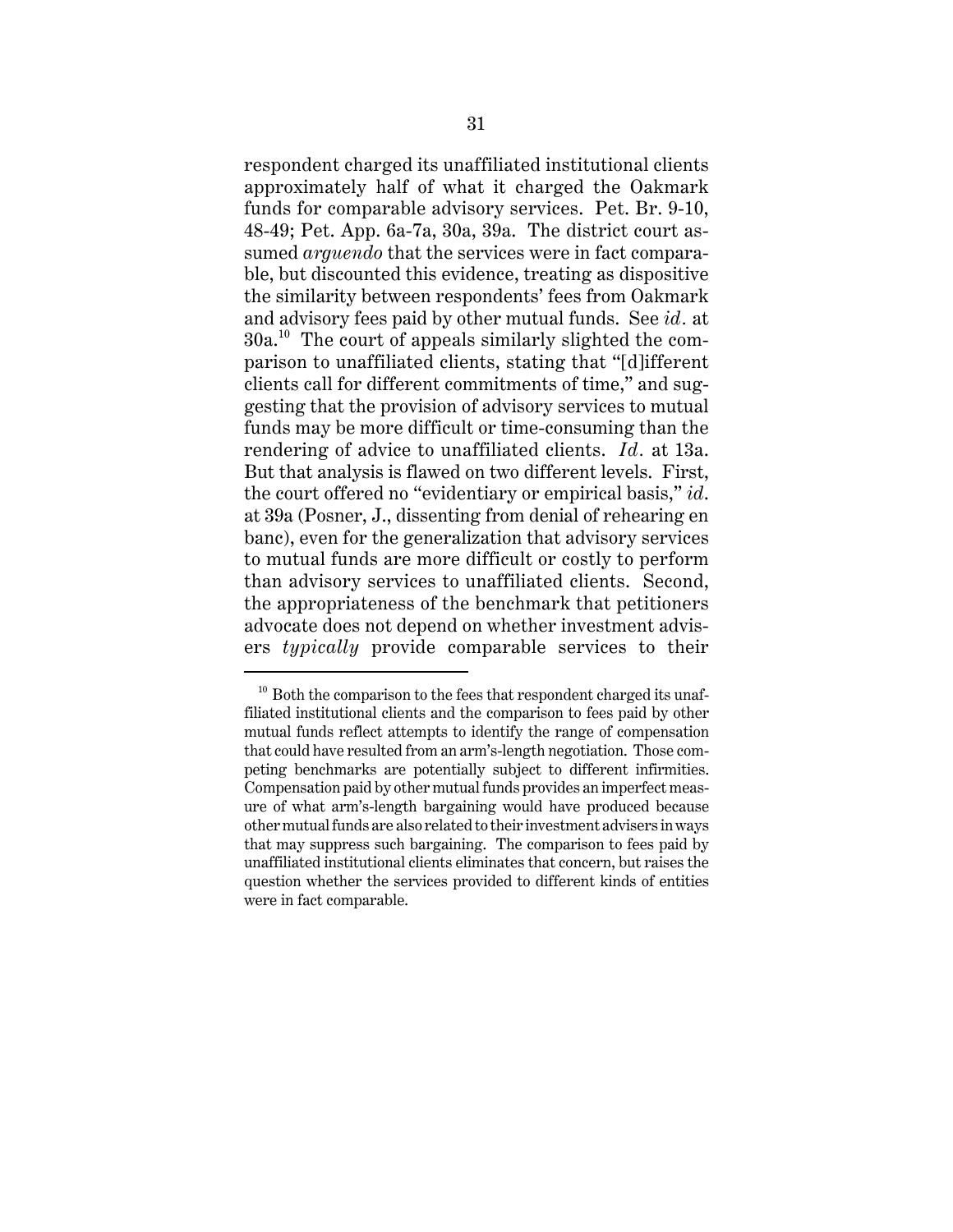respondent charged its unaffiliated institutional clients approximately half of what it charged the Oakmark funds for comparable advisory services. Pet. Br. 9-10, 48-49; Pet. App. 6a-7a, 30a, 39a. The district court assumed *arguendo* that the services were in fact comparable, but discounted this evidence, treating as dispositive the similarity between respondents' fees from Oakmark and advisory fees paid by other mutual funds. See *id.* at  $30a<sup>10</sup>$  The court of appeals similarly slighted the comparison to unaffiliated clients, stating that "[d]ifferent clients call for different commitments of time," and suggesting that the provision of advisory services to mutual funds may be more difficult or time-consuming than the rendering of advice to unaffiliated clients. *Id.* at 13a. But that analysis is flawed on two different levels. First, the court offered no "evidentiary or empirical basis," *id*. at 39a (Posner, J., dissenting from denial of rehearing en banc), even for the generalization that advisory services to mutual funds are more difficult or costly to perform than advisory services to unaffiliated clients. Second, the appropriateness of the benchmark that petitioners advocate does not depend on whether investment advisers *typically* provide comparable services to their

 $10$  Both the comparison to the fees that respondent charged its unaffiliated institutional clients and the comparison to fees paid by other mutual funds reflect attempts to identify the range of compensation that could have resulted from an arm's-length negotiation. Those competing benchmarks are potentially subject to different infirmities. Compensation paid by other mutual funds provides an imperfect measure of what arm's-length bargaining would have produced because other mutual funds are also related to their investment advisers in ways that may suppress such bargaining. The comparison to fees paid by unaffiliated institutional clients eliminates that concern, but raises the question whether the services provided to different kinds of entities were in fact comparable.